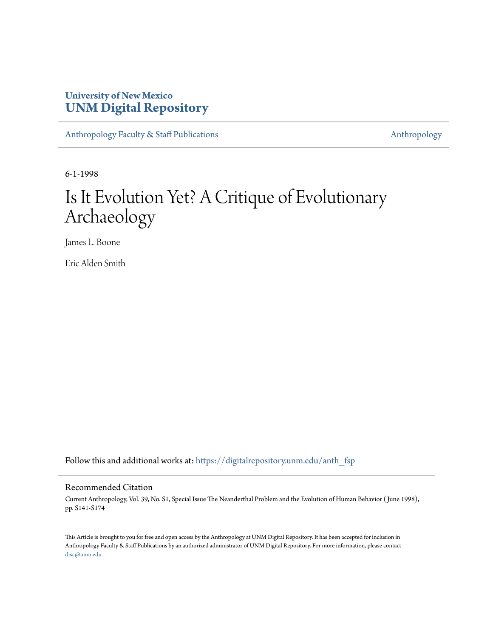## **University of New Mexico [UNM Digital Repository](https://digitalrepository.unm.edu?utm_source=digitalrepository.unm.edu%2Fanth_fsp%2F5&utm_medium=PDF&utm_campaign=PDFCoverPages)**

[Anthropology Faculty & Staff Publications](https://digitalrepository.unm.edu/anth_fsp?utm_source=digitalrepository.unm.edu%2Fanth_fsp%2F5&utm_medium=PDF&utm_campaign=PDFCoverPages) [Anthropology](https://digitalrepository.unm.edu/anth?utm_source=digitalrepository.unm.edu%2Fanth_fsp%2F5&utm_medium=PDF&utm_campaign=PDFCoverPages)

6-1-1998

# Is It Evolution Yet? A Critique of Evolutionary Archaeology

James L. Boone

Eric Alden Smith

Follow this and additional works at: [https://digitalrepository.unm.edu/anth\\_fsp](https://digitalrepository.unm.edu/anth_fsp?utm_source=digitalrepository.unm.edu%2Fanth_fsp%2F5&utm_medium=PDF&utm_campaign=PDFCoverPages)

## Recommended Citation

Current Anthropology, Vol. 39, No. S1, Special Issue The Neanderthal Problem and the Evolution of Human Behavior ( June 1998), pp. S141-S174

This Article is brought to you for free and open access by the Anthropology at UNM Digital Repository. It has been accepted for inclusion in Anthropology Faculty & Staff Publications by an authorized administrator of UNM Digital Repository. For more information, please contact [disc@unm.edu](mailto:disc@unm.edu).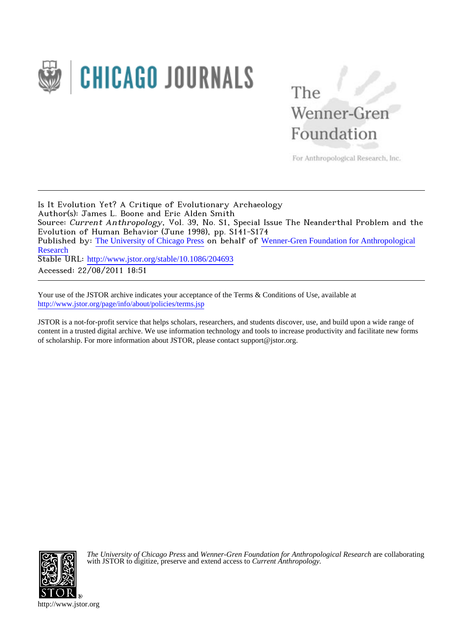



For Anthropological Research, Inc.

Is It Evolution Yet? A Critique of Evolutionary Archaeology Author(s): James L. Boone and Eric Alden Smith Source: Current Anthropology, Vol. 39, No. S1, Special Issue The Neanderthal Problem and the Evolution of Human Behavior (June 1998), pp. S141-S174 Published by: [The University of Chicago Press](http://www.jstor.org/action/showPublisher?publisherCode=ucpress) on behalf of [Wenner-Gren Foundation for Anthropological](http://www.jstor.org/action/showPublisher?publisherCode=wennergren) [Research](http://www.jstor.org/action/showPublisher?publisherCode=wennergren) Stable URL: http://www.jstor.org/stable/10.1086/204693

Accessed: 22/08/2011 18:51

Your use of the JSTOR archive indicates your acceptance of the Terms & Conditions of Use, available at <http://www.jstor.org/page/info/about/policies/terms.jsp>

JSTOR is a not-for-profit service that helps scholars, researchers, and students discover, use, and build upon a wide range of content in a trusted digital archive. We use information technology and tools to increase productivity and facilitate new forms of scholarship. For more information about JSTOR, please contact support@jstor.org.



*The University of Chicago Press* and *Wenner-Gren Foundation for Anthropological Research* are collaborating with JSTOR to digitize, preserve and extend access to *Current Anthropology.*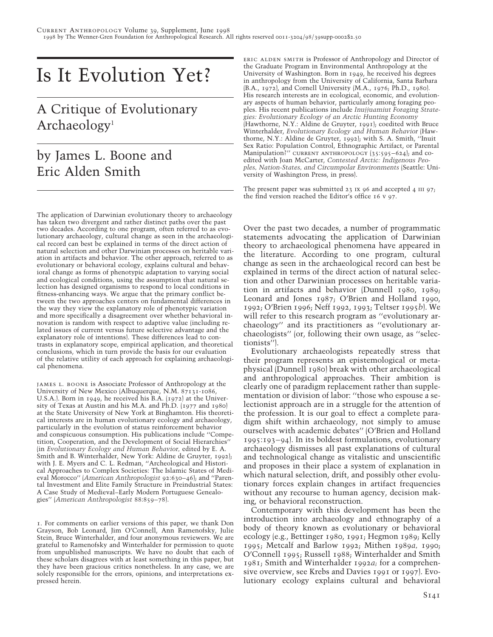The application of Darwinian evolutionary theory to archaeology has taken two divergent and rather distinct paths over the past two decades. According to one program, often referred to as evolutionary archaeology, cultural change as seen in the archaeologi-<br>cal record can best be explained in terms of the direct action of<br>natural selection and other Darwinian processes on heritable vari-<br>natural selection and evolutionary or behavioral ecology, explains cultural and behav-<br>ioral change as forms of phenotypic adaptation to varying social explained in terms of the direct action of natural selecioral change as forms of phenotypic adaptation to varying social and ecological conditions, using the assumption that natural seand ecological conditions, using the assumption that natural section and other Darwinian processes on heritable varia-<br>lection has designed organisms to respond to local conditions in<br>fitness-enhancing ways. We argue that and more specifically a disagreement over whether behavioral in-<br>novation is random with respect to adaptive value (including re-<br>lated issues of current versus future selective advantage and the<br>explanatory role of intent conclusions, which in turn provide the basis for our evaluation Evolutionary archaeologists repeatedly stress that of the relative utility of each approach for explaining archaeologi-<br>their program represents an epistemolo

james l. boone is Associate Professor of Anthropology at the clearly one of paradigm replacement rather than supple- University of New Mexico (Albuquerque, N.M. 87131-1086, U.S.A.). Born in 1949, he received his B.A. (1972) at the Univer-<br>U.S.A.). Born in 1949, he received his B.A. (1972) at the Univer-<br>sity of Texas at Austin and his M.A. and Ph.D. (1977 and 1980) lectionist approach are in sity of Texas at Austin and his M.A. and Ph.D. (1977 and 1980) lectionist approach are in a struggle for the attention of at the State University of New York at Binghamton. His theoreti-<br>the profession. It is our goal to e at the State University of New York at Binghamton. His theoreti-<br>cal interests are in human evolutionary ecology and archaeology,<br>particularly in the evolution of status reinforcement behavior<br>particularly in the evolution tition, Cooperation, and the Development of Social Hierarchies' (in *Evolutionary Ecology and Human Behavior,* edited by E. A. archaeology dismisses all past explanations of cultural Smith and B. Winterhalder, New York: Aldine de Gruyter, 1992);<br>with J. E. Myers and C. L. Redman, "Archeological and Histori-<br>with J. E. Myers and C. L. Redman, "Archeological and Histori-<br>and proposes in their place a sys tal Investment and Elite Family Structure in Preindustrial States:

Grayson, Bob Leonard, Jim O'Connell, Ann Ramenofsky, Julie Stein, Bruce Winterhalder, and four anonymous reviewers. We are grateful to Ramenofsky and Winterhalder for permission to quote 1995; Metcalf and Barlow 1992; Mithen 1989a, 1990; from unpublished manuscripts. We have no doubt that each of O'Connell 1995; Russell 1988; Winterhalder and pressed herein. lutionary ecology explains cultural and behavioral

eric alden smith is Professor of Anthropology and Director of the Graduate Program in Environmental Anthropology at the University of Washington. Born in 1949, he received his degrees Is It Evolution Yet? In anthropology from the University of California, Santa Barbara (B.A., 1972), and Cornell University (M.A., 1976; Ph.D., 1980). His research interests are in ecological, economic, and evolutionary aspects of human behavior, particularly among foraging peo-<br>ples. His recent publications include *Inujjuamiut Foraging Strate-*<br> $\bf{A}$  Critique of Evolutionary *gies: Evolutionary Ecology of an Arctic Hunting Economy*  $\text{Archaeology}^1$  (Hawthorne, N.Y.: Aldine de Gruyter, 1991); coedited with Bruce Winterhalder, *Evolutionary Ecology and Human Behavior* (Hawthorne, N.Y.: Aldine de Gruyter, 1992); with S. A. Smith, ''Inuit Sex Ratio: Population Control, Ethnographic Artifact, or Parental Manipulation?" CURRENT ANTHROPOLOGY (35:595-624); and coby James L. Boone and Manipulation?" CURRENT ANTHROPOLOGY (35:595–624); and co- bedited with Joan McCarter, *Contested Arctic: Indigenous Peo-***Fric Alden Smith** *ples, Nation-States, and Circumpolar Environments* (Seattle: University of Washington Press, in press).

> The present paper was submitted 23  $\overline{1}$  x 96 and accepted 4  $\overline{1}$  111 97; the find version reached the Editor's office 16 v 97.

Over the past two decades, a number of programmatic  $1992;$  O'Brien 1996; Neff 1992, 1993; Teltser 1995*b*). We

of the relative utility of each approach for explaining archaeologi- their program represents an epistemological or meta- cal phenomena. physical (Dunnell 1980) break with other archaeological and anthropological approaches. Their ambition is A Case Study of Medieval–Early Modern Portuguese Genealo- without any recourse to human agency, decision mak- gies'' (*American Anthropologist* 88:859–78). ing, or behavioral reconstruction.

Contemporary with this development has been the I. For comments on earlier versions of this paper, we thank Don introduction into archaeology and ethnography of a<br>Crayson Bob Leonard Jim O'Connell, Ann Bamenofsky, Julie body of theory known as evolutionary or behavioral  $\epsilon$ cology (e.g., Bettinger 1980, 1991; Hegmon 1989; Kelly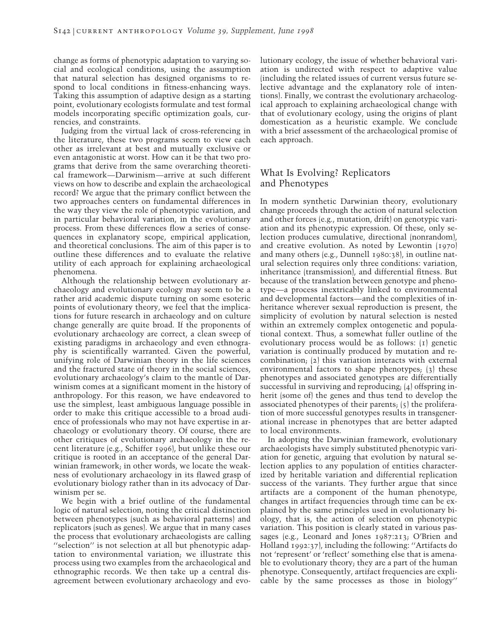that natural selection has designed organisms to re- (including the related issues of current versus future se-

the literature, these two programs seem to view each each approach. other as irrelevant at best and mutually exclusive or even antagonistic at worst. How can it be that two programs that derive from the same overarching theoretical framework—Darwinism—arrive at such different What Is Evolving? Replicators views on how to describe and explain the archaeological and Phenotypes views on how to describe and explain the archaeological record? We argue that the primary conflict between the two approaches centers on fundamental differences in In modern synthetic Darwinian theory, evolutionary the way they view the role of phenotypic variation, and change proceeds through the action of natural selection in particular behavioral variation, in the evolutionary and other forces (e.g., mutation, drift) on genotypic variprocess. From these differences flow a series of conse- ation and its phenotypic expression. Of these, only sequences in explanatory scope, empirical application, lection produces cumulative, directional (nonrandom), and theoretical conclusions. The aim of this paper is to and creative evolution. As noted by Lewontin (1970) outline these differences and to evaluate the relative and many others (e.g., Dunnell 1980:38), in outline natutility of each approach for explaining archaeological ural selection requires only three conditions: variation, phenomena. inheritance (transmission), and differential fitness. But

chaeology and evolutionary ecology may seem to be a type—a process inextricably linked to environmental rather arid academic dispute turning on some esoteric and developmental factors—and the complexities of inpoints of evolutionary theory, we feel that the implica- heritance wherever sexual reproduction is present, the tions for future research in archaeology and on culture simplicity of evolution by natural selection is nested change generally are quite broad. If the proponents of within an extremely complex ontogenetic and populaevolutionary archaeology are correct, a clean sweep of tional context. Thus, a somewhat fuller outline of the existing paradigms in archaeology and even ethnogra- evolutionary process would be as follows: (1) genetic phy is scientifically warranted. Given the powerful, variation is continually produced by mutation and reunifying role of Darwinian theory in the life sciences combination; (2) this variation interacts with external and the fractured state of theory in the social sciences, environmental factors to shape phenotypes; (3) these evolutionary archaeology's claim to the mantle of Dar- phenotypes and associated genotypes are differentially winism comes at a significant moment in the history of successful in surviving and reproducing;  $(4)$  offspring inanthropology. For this reason, we have endeavored to herit (some of) the genes and thus tend to develop the use the simplest, least ambiguous language possible in associated phenotypes of their parents; (5) the proliferaorder to make this critique accessible to a broad audi- tion of more successful genotypes results in transgenerchaeology or evolutionary theory. Of course, there are to local environments. other critiques of evolutionary archaeology in the re- In adopting the Darwinian framework, evolutionary cent literature (e.g., Schiffer 1996), but unlike these our archaeologists have simply substituted phenotypic varicritique is rooted in an acceptance of the general Dar- ation for genetic, arguing that evolution by natural sewinian framework; in other words, we locate the weak- lection applies to any population of entities characterness of evolutionary archaeology in its flawed grasp of ized by heritable variation and differential replication evolutionary biology rather than in its advocacy of Dar- success of the variants. They further argue that since winism per se.  $\blacksquare$ 

logic of natural selection, noting the critical distinction plained by the same principles used in evolutionary bibetween phenotypes (such as behavioral patterns) and ology, that is, the action of selection on phenotypic replicators (such as genes). We argue that in many cases variation. This position is clearly stated in various pasthe process that evolutionary archaeologists are calling sages (e.g., Leonard and Jones 1987:213; O'Brien and ''selection'' is not selection at all but phenotypic adap- Holland 1992:37), including the following: ''Artifacts do tation to environmental variation; we illustrate this not 'represent' or 'reflect' something else that is amenaprocess using two examples from the archaeological and ble to evolutionary theory; they are a part of the human ethnographic records. We then take up a central dis- phenotype. Consequently, artifact frequencies are expliagreement between evolutionary archaeology and evo- cable by the same processes as those in biology''

change as forms of phenotypic adaptation to varying so- lutionary ecology, the issue of whether behavioral varicial and ecological conditions, using the assumption ation is undirected with respect to adaptive value spond to local conditions in fitness-enhancing ways. lective advantage and the explanatory role of inten-Taking this assumption of adaptive design as a starting tions). Finally, we contrast the evolutionary archaeologpoint, evolutionary ecologists formulate and test formal ical approach to explaining archaeological change with models incorporating specific optimization goals, cur- that of evolutionary ecology, using the origins of plant rencies, and constraints. domestication as a heuristic example. We conclude Judging from the virtual lack of cross-referencing in with a brief assessment of the archaeological promise of

Although the relationship between evolutionary ar- because of the translation between genotype and phenoence of professionals who may not have expertise in ar- ational increase in phenotypes that are better adapted

We begin with a brief outline of the fundamental changes in artifact frequencies through time can be ex-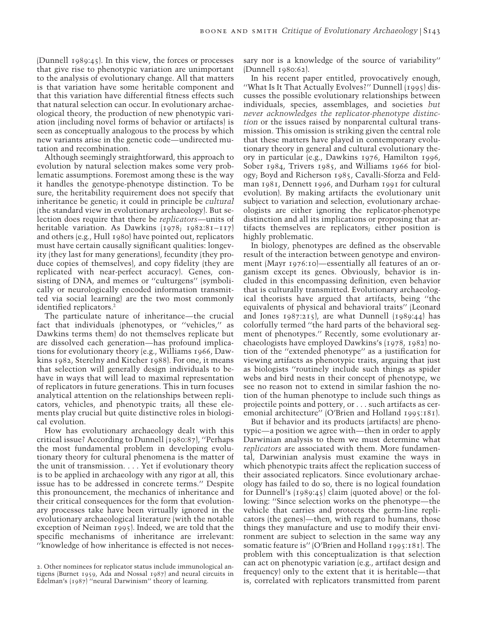(Dunnell 1989:45). In this view, the forces or processes sary nor is a knowledge of the source of variability'' that give rise to phenotypic variation are unimportant (Dunnell 1980:62). to the analysis of evolutionary change. All that matters In his recent paper entitled, provocatively enough, is that variation have some heritable component and ''What Is It That Actually Evolves?'' Dunnell (1995) disthat this variation have differential fitness effects such cusses the possible evolutionary relationships between that natural selection can occur. In evolutionary archae- individuals, species, assemblages, and societies *but* ological theory, the production of new phenotypic vari- *never acknowledges the replicator-phenotype distinc*ation (including novel forms of behavior or artifacts) is *tion* or the issues raised by nonparental cultural transseen as conceptually analogous to the process by which mission. This omission is striking given the central role new variants arise in the genetic code—undirected mu- that these matters have played in contemporary evolu-

evolution by natural selection makes some very prob- Sober 1984, Trivers 1985, and Williams 1966 for biollematic assumptions. Foremost among these is the way ogy; Boyd and Richerson 1985, Cavalli-Sforza and Feldit handles the genotype-phenotype distinction. To be man 1981, Dennett 1996, and Durham 1991 for cultural sure, the heritability requirement does not specify that evolution). By making artifacts the evolutionary unit inheritance be genetic; it could in principle be *cultural* subject to variation and selection, evolutionary archae- (the standard view in evolutionary archaeology). But se- ologists are either ignoring the replicator-phenotype lection does require that there be *replicators*—units of distinction and all its implications or proposing that arheritable variation. As Dawkins (1978; 1982:81–117) tifacts themselves are replicators; either position is and others (e.g., Hull 1980) have pointed out, replicators highly problematic. must have certain causally significant qualities: longev- In biology, phenotypes are defined as the observable ity (they last for many generations), fecundity (they pro- result of the interaction between genotype and environduce copies of themselves), and copy fidelity (they are ment (Mayr 1976:10)—essentially all features of an orreplicated with near-perfect accuracy). Genes, con- ganism except its genes. Obviously, behavior is insisting of DNA, and memes or ''culturgens'' (symboli- cluded in this encompassing definition, even behavior cally or neurologically encoded information transmit-<br>that is culturally transmitted. Evolutionary archaeologted via social learning) are the two most commonly ical theorists have argued that artifacts, being ''the identified replicators.2 equivalents of physical and behavioral traits'' (Leonard

fact that individuals (phenotypes, or "vehicles," as colorfully termed "the hard parts of the behavioral seg-Dawkins terms them) do not themselves replicate but ment of phenotypes.'' Recently, some evolutionary arare dissolved each generation—has profound implica- chaeologists have employed Dawkins's (1978, 1982) notions for evolutionary theory (e.g., Williams 1966, Daw- tion of the ''extended phenotype'' as a justification for kins 1982, Sterelny and Kitcher 1988). For one, it means viewing artifacts as phenotypic traits, arguing that just that selection will generally design individuals to be- as biologists ''routinely include such things as spider have in ways that will lead to maximal representation webs and bird nests in their concept of phenotype, we of replicators in future generations. This in turn focuses see no reason not to extend in similar fashion the noanalytical attention on the relationships between repli- tion of the human phenotype to include such things as cators, vehicles, and phenotypic traits; all these ele- projectile points and pottery, or . . . such artifacts as cerments play crucial but quite distinctive roles in biologi- emonial architecture'' (O'Brien and Holland 1995:181). cal evolution. But if behavior and its products (artifacts) are pheno-

critical issue? According to Dunnell (1980:87), ''Perhaps Darwinian analysis to them we must determine what the most fundamental problem in developing evolu- *replicators* are associated with them. More fundamentionary theory for cultural phenomena is the matter of tal, Darwinian analysis must examine the ways in the unit of transmission. . . . Yet if evolutionary theory which phenotypic traits affect the replication success of is to be applied in archaeology with any rigor at all, this their associated replicators. Since evolutionary archaeissue has to be addressed in concrete terms.'' Despite ology has failed to do so, there is no logical foundation this pronouncement, the mechanics of inheritance and for Dunnell's (1989:45) claim (quoted above) or the foltheir critical consequences for the form that evolution- lowing: ''Since selection works on the phenotype—the ary processes take have been virtually ignored in the vehicle that carries and protects the germ-line replievolutionary archaeological literature (with the notable cators (the genes)—then, with regard to humans, those exception of Neiman 1995). Indeed, we are told that the things they manufacture and use to modify their envispecific mechanisms of inheritance are irrelevant: ronment are subject to selection in the same way any ''knowledge of how inheritance is effected is not neces- somatic feature is'' (O'Brien and Holland 1995:181). The

tation and recombination. tionary theory in general and cultural evolutionary the-<br>Although seemingly straightforward, this approach to ory in particular (e.g., Dawkins 1976, Hamilton 1996, ory in particular (e.g., Dawkins 1976, Hamilton 1996,

The particulate nature of inheritance—the crucial and Jones  $1987:215$ , are what Dunnell (1989:44) has

How has evolutionary archaeology dealt with this typic—a position we agree with—then in order to apply problem with this conceptualization is that selection 2. Other nominees for replicator status include immunological ances and act on phenotypic variation (e.g., artifact design and tigens (Burnet 1959, Ada and Nossal 1987) and neural circuits in frequency) only to the extent

Edelman's (1987) "neural Darwinism" theory of learning. is, correlated with replicators transmitted from parent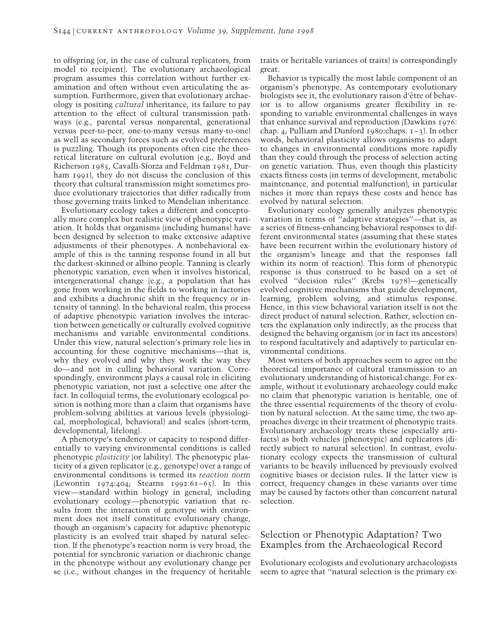to offspring (or, in the case of cultural replicators, from traits or heritable variances of traits) is correspondingly model to recipient). The evolutionary archaeological great. program assumes this correlation without further ex- Behavior is typically the most labile component of an those governing traits linked to Mendelian inheritance. evolved by natural selection.

Evolutionary ecology takes a different and conceptu- Evolutionary ecology generally analyzes phenotypic ation. It holds that organisms (including humans) have a series of fitness-enhancing behavioral responses to difof adaptive phenotypic variation involves the interac- direct product of natural selection. Rather, selection en-Under this view, natural selection's primary role lies in to respond facultatively and adaptively to particular enaccounting for these cognitive mechanisms—that is, vironmental conditions. why they evolved and why they work the way they Most writers of both approaches seem to agree on the spondingly, environment plays a causal role in eliciting evolutionary understanding of historical change. For exsition is nothing more than a claim that organisms have the three essential requirements of the theory of evoludevelopmental, lifelong). Evolutionary archaeology treats these (especially arti-

(Lewontin 1974:404; Stearns 1992:61–65). In this correct, frequency changes in these variants over time view—standard within biology in general, including may be caused by factors other than concurrent natural evolutionary ecology—phenotypic variation that re- selection. sults from the interaction of genotype with environment does not itself constitute evolutionary change, though an organism's capacity for adaptive phenotypic plasticity is an evolved trait shaped by natural selec- Selection or Phenotypic Adaptation? Two tion. If the phenotype's reaction norm is very broad, the Examples from the Archaeological Record potential for synchronic variation or diachronic change in the phenotype without any evolutionary change per Evolutionary ecologists and evolutionary archaeologists se (i.e., without changes in the frequency of heritable seem to agree that ''natural selection is the primary ex-

amination and often without even articulating the as- organism's phenotype. As contemporary evolutionary sumption. Furthermore, given that evolutionary archae- biologists see it, the evolutionary raison d'être of behavology is positing *cultural* inheritance, its failure to pay ior is to allow organisms greater flexibility in reattention to the effect of cultural transmission path- sponding to variable environmental challenges in ways ways (e.g., parental versus nonparental, generational that enhance survival and reproduction (Dawkins 1976: versus peer-to-peer, one-to-many versus many-to-one) chap. 4; Pulliam and Dunford 1980:chaps. 1–3). In other as well as secondary forces such as evolved preferences words, behavioral plasticity allows organisms to adapt is puzzling. Though its proponents often cite the theo- to changes in environmental conditions more rapidly retical literature on cultural evolution (e.g., Boyd and than they could through the process of selection acting Richerson 1985, Cavalli-Sforza and Feldman 1981, Dur- on genetic variation. Thus, even though this plasticity ham 1991), they do not discuss the conclusion of this exacts fitness costs (in terms of development, metabolic theory that cultural transmission might sometimes pro- maintenance, and potential malfunction), in particular duce evolutionary trajectories that differ radically from niches it more than repays these costs and hence has

ally more complex but realistic view of phenotypic vari- variation in terms of ''adaptive strategies''—that is, as been designed by selection to make extensive adaptive ferent environmental states (assuming that these states adjustments of their phenotypes. A nonbehavioral ex- have been recurrent within the evolutionary history of ample of this is the tanning response found in all but the organism's lineage and that the responses fall the darkest-skinned or albino people. Tanning is clearly within its norm of reaction). This form of phenotypic phenotypic variation, even when it involves historical, response is thus construed to be based on a set of intergenerational change (e.g., a population that has evolved ''decision rules'' (Krebs 1978)—genetically gone from working in the fields to working in factories evolved cognitive mechanisms that guide development, and exhibits a diachronic shift in the frequency or in- learning, problem solving, and stimulus response. tensity of tanning). In the behavioral realm, this process Hence, in this view behavioral variation itself is not the tion between genetically or culturally evolved cognitive ters the explanation only indirectly, as the process that mechanisms and variable environmental conditions. designed the behaving organism (or in fact its ancestors)

do—and not in culling behavioral variation. Corre- theoretical importance of cultural transmission to an phenotypic variation, not just a selective one after the ample, without it evolutionary archaeology could make fact. In colloquial terms, the evolutionary ecological po- no claim that phenotypic variation is heritable, one of problem-solving abilities at various levels (physiologi- tion by natural selection. At the same time, the two apcal, morphological, behavioral) and scales (short-term, proaches diverge in their treatment of phenotypic traits. A phenotype's tendency or capacity to respond differ- facts) as both vehicles (phenotypic) and replicators (dientially to varying environmental conditions is called rectly subject to natural selection). In contrast, evoluphenotypic *plasticity* (or lability). The phenotypic plas- tionary ecology expects the transmission of cultural ticity of a given replicator (e.g., genotype) over a range of variants to be heavily influenced by previously evolved environmental conditions is termed its *reaction norm* cognitive biases or decision rules. If the latter view is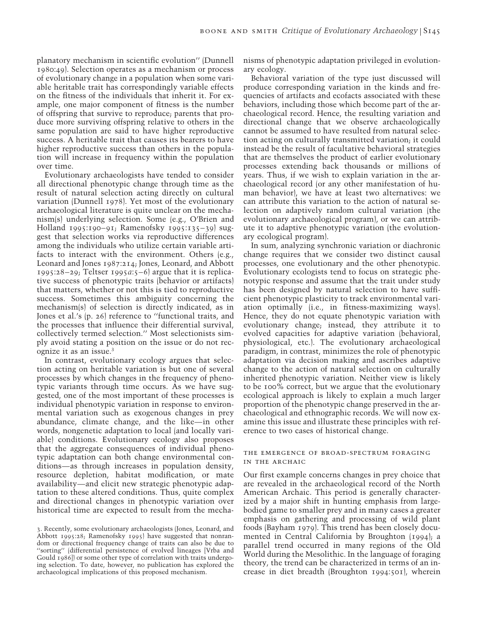planatory mechanism in scientific evolution'' (Dunnell nisms of phenotypic adaptation privileged in evolution-1980:49). Selection operates as a mechanism or process ary ecology. of evolutionary change in a population when some vari- Behavioral variation of the type just discussed will able heritable trait has correspondingly variable effects produce corresponding variation in the kinds and freon the fitness of the individuals that inherit it. For ex- quencies of artifacts and ecofacts associated with these ample, one major component of fitness is the number behaviors, including those which become part of the arof offspring that survive to reproduce; parents that pro- chaeological record. Hence, the resulting variation and duce more surviving offspring relative to others in the directional change that we observe archaeologically same population are said to have higher reproductive cannot be assumed to have resulted from natural selecsuccess. A heritable trait that causes its bearers to have tion acting on culturally transmitted variation; it could higher reproductive success than others in the popula- instead be the result of facultative behavioral strategies tion will increase in frequency within the population that are themselves the product of earlier evolutionary over time. processes extending back thousands or millions of

all directional phenotypic change through time as the chaeological record (or any other manifestation of huresult of natural selection acting directly on cultural man behavior), we have at least two alternatives: we variation (Dunnell 1978). Yet most of the evolutionary can attribute this variation to the action of natural searchaeological literature is quite unclear on the mecha- lection on adaptively random cultural variation (the nism(s) underlying selection. Some (e.g., O'Brien and evolutionary archaeological program), or we can attrib-Holland 1995:190–91; Ramenofsky 1995:135–39) sug- ute it to adaptive phenotypic variation (the evolutiongest that selection works via reproductive differences ary ecological program). among the individuals who utilize certain variable arti- In sum, analyzing synchronic variation or diachronic facts to interact with the environment. Others (e.g., change requires that we consider two distinct causal Leonard and Jones 1987:214; Jones, Leonard, and Abbott processes, one evolutionary and the other phenotypic. 1995:28–29; Teltser 1995*a*:5–6) argue that it is replica- Evolutionary ecologists tend to focus on strategic phetive success of phenotypic traits (behavior or artifacts) notypic response and assume that the trait under study that matters, whether or not this is tied to reproductive has been designed by natural selection to have suffisuccess. Sometimes this ambiguity concerning the cient phenotypic plasticity to track environmental varimechanism(s) of selection is directly indicated, as in ation optimally (i.e., in fitness-maximizing ways). Jones et al.'s (p. 26) reference to ''functional traits, and Hence, they do not equate phenotypic variation with the processes that influence their differential survival, evolutionary change; instead, they attribute it to collectively termed selection.'' Most selectionists sim- evolved capacities for adaptive variation (behavioral,

tion acting on heritable variation is but one of several change to the action of natural selection on culturally processes by which changes in the frequency of pheno- inherited phenotypic variation. Neither view is likely typic variants through time occurs. As we have sug- to be 100% correct, but we argue that the evolutionary gested, one of the most important of these processes is ecological approach is likely to explain a much larger individual phenotypic variation in response to environ- proportion of the phenotypic change preserved in the armental variation such as exogenous changes in prey chaeological and ethnographic records. We will now exabundance, climate change, and the like—in other amine this issue and illustrate these principles with refwords, nongenetic adaptation to local (and locally vari- erence to two cases of historical change. able) conditions. Evolutionary ecology also proposes that the aggregate consequences of individual pheno-<br>typic adaptation can both change environmental con-<br>ditions—as through increases in population density,<br> $\frac{1}{N}$  THE ARCHAIC resource depletion, habitat modification, or mate Our first example concerns changes in prey choice that availability—and elicit new strategic phenotypic adap- are revealed in the archaeological record of the North tation to these altered conditions. Thus, quite complex American Archaic. This period is generally characterand directional changes in phenotypic variation over ized by a major shift in hunting emphasis from large-

Evolutionary archaeologists have tended to consider years. Thus, if we wish to explain variation in the ar-

ply avoid stating a position on the issue or do not rec-<br>physiological, etc.). The evolutionary archaeological<br>paradigm, in contrast, minimizes the role of phenotypic paradigm, in contrast, minimizes the role of phenotypic In contrast, evolutionary ecology argues that selec- adaptation via decision making and ascribes adaptive

historical time are expected to result from the mecha- bodied game to smaller prey and in many cases a greater emphasis on gathering and processing of wild plant 3. Recently, some evolutionary archaeologists (Jones, Leonard, and foods (Bayham 1979). This trend has been closely docudom or directional frequency change of traits can also be due to<br>
"sorting" (differential persistence of evolved lineages [Vrba and<br>
Gould 1986] or some other type of correlation with traits undergo-<br>
ing selection. To dat archaeological implications of this proposed mechanism. crease in diet breadth (Broughton 1994:501), wherein

Abbott 1995:28; Ramenofsky 1995) have suggested that nonran- mented in Central California by Broughton (1994); a<br>dom or directional frequency change of traits can also be due to parallel trend occurred in many regions of t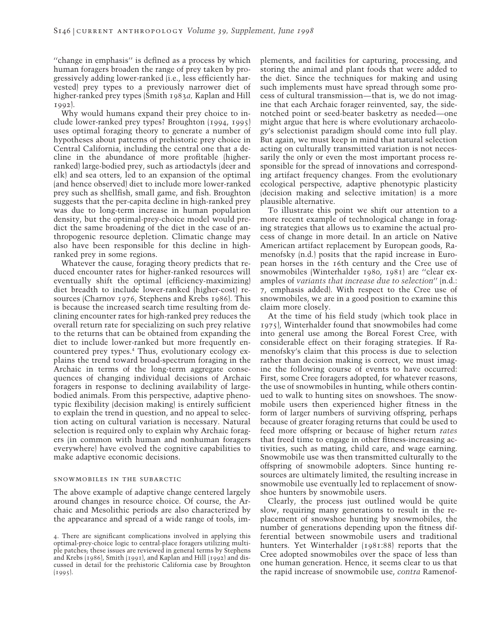''change in emphasis'' is defined as a process by which plements, and facilities for capturing, processing, and human foragers broaden the range of prey taken by pro- storing the animal and plant foods that were added to vested) prey types to a previously narrower diet of such implements must have spread through some prohigher-ranked prey types (Smith 1983*a,* Kaplan and Hill cess of cultural transmission—that is, we do not imag-

clude lower-ranked prey types? Broughton (1994, 1995) might argue that here is where evolutionary archaeolouses optimal foraging theory to generate a number of gy's selectionist paradigm should come into full play. hypotheses about patterns of prehistoric prey choice in But again, we must keep in mind that natural selection Central California, including the central one that a de- acting on culturally transmitted variation is not necescline in the abundance of more profitable (higher- sarily the only or even the most important process reranked) large-bodied prey, such as artiodactyls (deer and sponsible for the spread of innovations and correspondelk) and sea otters, led to an expansion of the optimal ing artifact frequency changes. From the evolutionary (and hence observed) diet to include more lower-ranked ecological perspective, adaptive phenotypic plasticity prey such as shellfish, small game, and fish. Broughton (decision making and selective imitation) is a more suggests that the per-capita decline in high-ranked prey plausible alternative. was due to long-term increase in human population To illustrate this point we shift our attention to a density, but the optimal-prey-choice model would pre- more recent example of technological change in foragdict the same broadening of the diet in the case of an- ing strategies that allows us to examine the actual prothropogenic resource depletion. Climatic change may cess of change in more detail. In an article on Native also have been responsible for this decline in high- American artifact replacement by European goods, Raranked prey in some regions. menofsky (n.d.) posits that the rapid increase in Euro-

duced encounter rates for higher-ranked resources will snowmobiles (Winterhalder 1980, 1981) are ''clear exeventually shift the optimal (efficiency-maximizing) amples of *variants that increase due to selection*'' (n.d.: diet breadth to include lower-ranked (higher-cost) re- 7, emphasis added). With respect to the Cree use of sources (Charnov 1976, Stephens and Krebs 1986). This snowmobiles, we are in a good position to examine this is because the increased search time resulting from de- claim more closely. clining encounter rates for high-ranked prey reduces the At the time of his field study (which took place in diet to include lower-ranked but more frequently en- considerable effect on their foraging strategies. If Raforagers in response to declining availability of large- the use of snowmobiles in hunting, while others continers (in common with human and nonhuman foragers that freed time to engage in other fitness-increasing ac-

The above example of adaptive change centered largely shoe hunters by snowmobile users.

gressively adding lower-ranked (i.e., less efficiently har- the diet. Since the techniques for making and using 1992). ine that each Archaic forager reinvented, say, the side-Why would humans expand their prey choice to in-<br>notched point or seed-beater basketry as needed—one

Whatever the cause, foraging theory predicts that re- pean horses in the 16th century and the Cree use of

overall return rate for specializing on such prey relative 1975), Winterhalder found that snowmobiles had come to the returns that can be obtained from expanding the into general use among the Boreal Forest Cree, with countered prey types.<sup>4</sup> Thus, evolutionary ecology ex- menofsky's claim that this process is due to selection plains the trend toward broad-spectrum foraging in the rather than decision making is correct, we must imag-Archaic in terms of the long-term aggregate conse- ine the following course of events to have occurred: quences of changing individual decisions of Archaic First, some Cree foragers adopted, for whatever reasons, bodied animals. From this perspective, adaptive pheno- ued to walk to hunting sites on snowshoes. The snowtypic flexibility (decision making) is entirely sufficient mobile users then experienced higher fitness in the to explain the trend in question, and no appeal to selec- form of larger numbers of surviving offspring, perhaps tion acting on cultural variation is necessary. Natural because of greater foraging returns that could be used to selection is required only to explain why Archaic forag- feed more offspring or because of higher return *rates* everywhere) have evolved the cognitive capabilities to tivities, such as mating, child care, and wage earning. make adaptive economic decisions. Snowmobile use was then transmitted culturally to the offspring of snowmobile adopters. Since hunting resnowmobiles in the subarctic snowmobile use eventually led to replacement of snow-<br>snowmobile use eventually led to replacement of snow-

around changes in resource choice. Of course, the Ar- Clearly, the process just outlined would be quite chaic and Mesolithic periods are also characterized by slow, requiring many generations to result in the rethe appearance and spread of a wide range of tools, im- placement of snowshoe hunting by snowmobiles, the number of generations depending upon the fitness dif-4. There are significant complications involved in applying this ferential between snowmobile users and traditional portimal-prey-choice logic to central-place foragers utilizing multi-<br>ple patches, these issues are reviewed in general terms by Stephens<br>and Krebs [1986], Smith [1991], and Kaplan and Hill [1992] and discussed in detail f

<sup>(</sup>1995). the rapid increase of snowmobile use, *contra* Ramenof-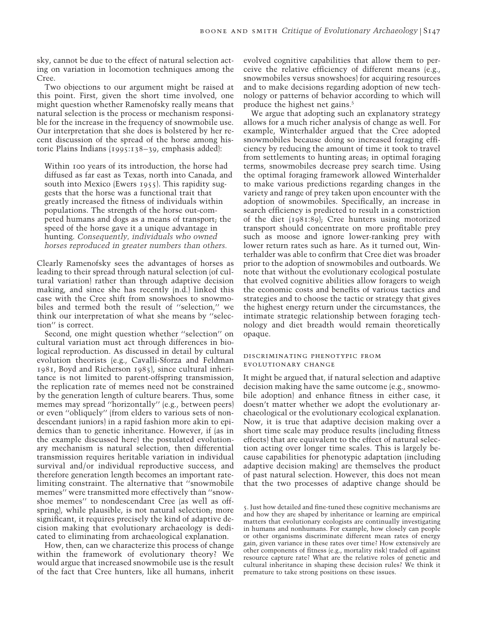ing on variation in locomotion techniques among the ceive the relative efficiency of different means (e.g., Cree. snowmobiles versus snowshoes) for acquiring resources

this point. First, given the short time involved, one nology or patterns of behavior according to which will might question whether Ramenofsky really means that produce the highest net gains.<sup>5</sup> natural selection is the process or mechanism responsi- We argue that adopting such an explanatory strategy ble for the increase in the frequency of snowmobile use. allows for a much richer analysis of change as well. For Our interpretation that she does is bolstered by her re- example, Winterhalder argued that the Cree adopted cent discussion of the spread of the horse among his- snowmobiles because doing so increased foraging effitoric Plains Indians (1995:138–39, emphasis added): ciency by reducing the amount of time it took to travel

Clearly Ramenofsky sees the advantages of horses as prior to the adoption of snowmobiles and outboards. We leading to their spread through natural selection (of cul- note that without the evolutionary ecological postulate tural variation) rather than through adaptive decision that evolved cognitive abilities allow foragers to weigh making, and since she has recently (n.d.) linked this the economic costs and benefits of various tactics and case with the Cree shift from snowshoes to snowmo- strategies and to choose the tactic or strategy that gives biles and termed both the result of ''selection,'' we the highest energy return under the circumstances, the think our interpretation of what she means by ''selec- intimate strategic relationship between foraging techtion'' is correct. nology and diet breadth would remain theoretically

Second, one might question whether ''selection'' on opaque. cultural variation must act through differences in biological reproduction. As discussed in detail by cultural discriminating phenotypic from evolution theorists (e.g., Cavalli-Sforza and Feldman evolutionary change 1981, Boyd and Richerson 1985), since cultural inheritance is not limited to parent-offspring transmission, It might be argued that, if natural selection and adaptive the replication rate of memes need not be constrained decision making have the same outcome (e.g., snowmoby the generation length of culture bearers. Thus, some bile adoption) and enhance fitness in either case, it memes may spread ''horizontally'' (e.g., between peers) doesn't matter whether we adopt the evolutionary aror even ''obliquely'' (from elders to various sets of non- chaeological or the evolutionary ecological explanation. descendant juniors) in a rapid fashion more akin to epi- Now, it is true that adaptive decision making over a demics than to genetic inheritance. However, if (as in short time scale may produce results (including fitness the example discussed here) the postulated evolution- effects) that are equivalent to the effect of natural selecary mechanism is natural selection, then differential tion acting over longer time scales. This is largely betransmission requires heritable variation in individual cause capabilities for phenotypic adaptation (including survival and/or individual reproductive success, and adaptive decision making) are themselves the product therefore generation length becomes an important rate- of past natural selection. However, this does not mean limiting constraint. The alternative that ''snowmobile that the two processes of adaptive change should be memes'' were transmitted more effectively than ''snowshoe memes'' to nondescendant Cree (as well as offspring), while plausible, is not natural selection; more<br>significant, it requires precisely the kind of adaptive de-<br>matters that evolutionary ecologists are continually investigating cision making that evolutionary archaeology is dedi- in humans and nonhumans. For example, how closely can people

of the fact that Cree hunters, like all humans, inherit premature to take strong positions on these issues.

sky, cannot be due to the effect of natural selection act- evolved cognitive capabilities that allow them to per-Two objections to our argument might be raised at and to make decisions regarding adoption of new tech-

from settlements to hunting areas; in optimal foraging Within 100 years of its introduction, the horse had terms, snowmobiles decrease prey search time. Using diffused as far east as Texas, north into Canada, and the optimal foraging framework allowed Winterhalder south into Mexico (Ewers 1955). This rapidity sug- to make various predictions regarding changes in the gests that the horse was a functional trait that variety and range of prey taken upon encounter with the greatly increased the fitness of individuals within adoption of snowmobiles. Specifically, an increase in populations. The strength of the horse out-com- search efficiency is predicted to result in a constriction peted humans and dogs as a means of transport; the of the diet (1981:89); Cree hunters using motorized speed of the horse gave it a unique advantage in transport should concentrate on more profitable prey hunting. *Consequently, individuals who owned* such as moose and ignore lower-ranking prey with *horses reproduced in greater numbers than others.* lower return rates such as hare. As it turned out, Winterhalder was able to confirm that Cree diet was broader

cated to eliminating from archaeological explanation. or other organisms discriminate different mean rates of energy<br>How then can we characterize this process of change gain, given variance in these rates over time? How ex How, then, can we characterize this process of change gain, given variance in these rates over time? How extensively are<br>ithin the framework, of evolutionary, theory? We other components of fitness (e.g., mortality risk) t within the framework of evolutionary theory? We<br>would argue that increased snowmobile use is the result<br>would argue that increased snowmobile use is the result<br>ultural inheritance in shaping these decision rules? We think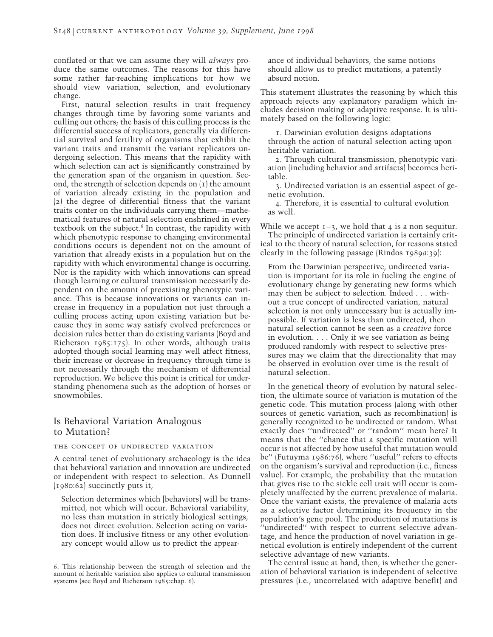conflated or that we can assume they will *always* pro- ance of individual behaviors, the same notions duce the same outcomes. The reasons for this have should allow us to predict mutations, a patently some rather far-reaching implications for how we absurd notion.

differential success of replicators, generally via differential success of replicators, generally via differential contract in Darwinian evolution designs adaptations<br>tial survival and fertility of organisms that exhibit t dergoing selection. This means that the rapidity with<br>with the selection can act is significantly constrained by<br>the generation span of the organism in question. Sec-<br>ond, the strength of selection depends on  $\begin{pmatrix} 1 \end{$ ond, the strength of selection depends on (1) the amount  $\frac{3}{3}$ . Undirected variation is an essential aspect of ge-<br>of variation already existing in the population and  $\frac{1}{4}$ . Therefore it is essential to cultural e (2) the degree of differential fitness that the variant  $\frac{4}{4}$ . Therefore, it is essential to cultural evolution traits confer on the individuals carrying them—mathe- as well. textbook on the subject.<sup>6</sup> In contrast, the rapidity with While we accept  $1-3$ , we hold that 4 is a non sequitur.<br>which phenotypic response to changing environmental The principle of undirected variation is certainly cr which phenotypic response to changing environmental The principle of undirected variation is certainly crit-<br>conditions occurs is dependent not on the amount of ical to the theory of natural selection, for reasons stated conditions occurs is dependent not on the amount of ical to the theory of natural selection, for reasons stated variation that already exists in a population but on the clearly in the following passage (Rindos 1989*a*:39) variation that already exists in a population but on the From the Darwinian perspective, undirected varia-<br>
Mor is the rapidity with which innovations can spread<br>
though learning or cultural transmission necessarily de-<br>
pendent on the amount of preexisting phenotypic vari-<br>
anc standing phenomena such as the adoption of horses or In the genetical theory of evolution by natural selec-<br>snowmobiles.

or independent with respect to selection. As Dunnell value). For example, the probability that the mutation that gives rise to the sickle cell trait will occur is com-

should view variation, selection, and evolutionary<br>change.<br>First, natural selection results in trait frequency<br>changes through time by favoring some variants and<br>culling out others; the basis of this culling process is the

tion, the ultimate source of variation is mutation of the genetic code. This mutation process (along with other sources of genetic variation, such as recombination) is Is Behavioral Variation Analogous generally recognized to be undirected or random. What to Mutation? exactly does ''undirected'' or ''random'' mean here? It means that the ''chance that a specific mutation will THE CONCEPT OF UNDIRECTED VARIATION<br>A central tenet of evolutionary archaeology is the idea be" (Futuyma 1986:76), where "useful" refers to effects A central tenet of evolutionary archaeology is the idea be'' (Futuyma 1986:76), where "useful" refers to effects that behavioral variation and innovation are undirected on the organism's survival and reproduction (i.e., fi that behavioral variation and innovation are undirected on the organism's survival and reproduction (i.e., fitness<br>or independent with respect to selection. As Dunnell value). For example, the probability that the mutation (1980:62) succinctly puts it,<br>
Selection determines which [behaviors] will be trans-<br>
Selection determines which [behaviors] will be trans-<br>
mitted, not which will occur. Behavioral variability,<br>
no less than mutation in s selective advantage of new variants.

The central issue at hand, then, is whether the gener- 6. This relationship between the strength of selection and the systems (see Boyd and Richerson 1985:chap. 6). pressures (i.e., uncorrelated with adaptive benefit) and

amount of heritable variation also applies to cultural transmission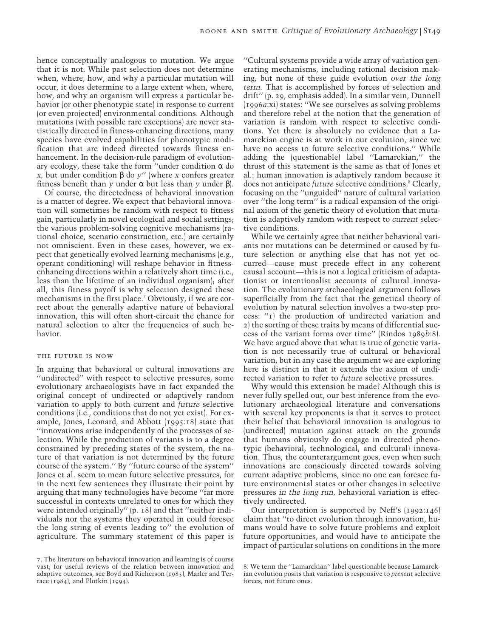hence conceptually analogous to mutation. We argue "Cultural systems provide a wide array of variation genthat it is not. While past selection does not determine erating mechanisms, including rational decision makwhen, where, how, and why a particular mutation will ing, but none of these guide evolution *over the long* occur, it does determine to a large extent when, where, *term.* That is accomplished by forces of selection and how, and why an organism will express a particular be- drift'' (p. 29, emphasis added). In a similar vein, Dunnell havior (or other phenotypic state) in response to current (1996*a*:xi) states: ''We see ourselves as solving problems (or even projected) environmental conditions. Although and therefore rebel at the notion that the generation of mutations (with possible rare exceptions) are never sta- variation is random with respect to selective conditistically directed in fitness-enhancing directions, many tions. Yet there is absolutely no evidence that a Laspecies have evolved capabilities for phenotypic modi- marckian engine is at work in our evolution, since we fication that are indeed directed towards fitness en- have no access to future selective conditions." While hancement. In the decision-rule paradigm of evolution- adding the (questionable) label ''Lamarckian,'' the ary ecology, these take the form "under condition  $\alpha$  do thrust of this statement is the same as that of Jones et *x,* but under condition β do *y*'' (where *x* confers greater al.: human innovation is adaptively random because it fitness benefit than *y* under α but less than *y* under β). does not anticipate *future* selective conditions.8 Clearly,

is a matter of degree. We expect that behavioral innova- over ''the long term'' is a radical expansion of the origition will sometimes be random with respect to fitness nal axiom of the genetic theory of evolution that mutagain, particularly in novel ecological and social settings; tion is adaptively random with respect to *current* selecthe various problem-solving cognitive mechanisms (ra- tive conditions. tional choice, scenario construction, etc.) are certainly While we certainly agree that neither behavioral varinot omniscient. Even in these cases, however, we ex- ants nor mutations can be determined or caused by fupect that genetically evolved learning mechanisms (e.g., ture selection or anything else that has not yet ocoperant conditioning) will reshape behavior in fitness- curred—cause must precede effect in any coherent enhancing directions within a relatively short time (i.e., causal account—this is not a logical criticism of adaptaless than the lifetime of an individual organism); after tionist or intentionalist accounts of cultural innovaall, this fitness payoff is why selection designed these tion. The evolutionary archaeological argument follows mechanisms in the first place.<sup>7</sup> Obviously, if we are cor- superficially from the fact that the genetical theory of rect about the generally adaptive nature of behavioral evolution by natural selection involves a two-step proinnovation, this will often short-circuit the chance for cess: ''1) the production of undirected variation and natural selection to alter the frequencies of such be- 2) the sorting of these traits by means of differential suchavior. cess of the variant forms over time'' (Rindos 1989*b*:8).

In arguing that behavioral or cultural innovations are here is distinct in that it extends the axiom of undi- ''undirected'' with respect to selective pressures, some rected variation to refer to *future* selective pressures. evolutionary archaeologists have in fact expanded the Why would this extension be made? Although this is original concept of undirected or adaptively random never fully spelled out, our best inference from the evovariation to apply to both current and *future* selective lutionary archaeological literature and conversations conditions (i.e., conditions that do not yet exist). For ex- with several key proponents is that it serves to protect ample, Jones, Leonard, and Abbott (1995:18) state that their belief that behavioral innovation is analogous to ''innovations arise independently of the processes of se- (undirected) mutation against attack on the grounds lection. While the production of variants is to a degree that humans obviously do engage in directed phenoconstrained by preceding states of the system, the na- typic (behavioral, technological, and cultural) innovature of that variation is not determined by the future tion. Thus, the counterargument goes, even when such course of the system." By "future course of the system" innovations are consciously directed towards solving Jones et al. seem to mean future selective pressures, for current adaptive problems, since no one can foresee fuin the next few sentences they illustrate their point by ture environmental states or other changes in selective arguing that many technologies have become ''far more pressures *in the long run,* behavioral variation is effecsuccessful in contexts unrelated to ones for which they tively undirected. were intended originally'' (p. 18) and that "neither indi- Our interpretation is supported by Neff's (1992:146) viduals nor the systems they operated in could foresee claim that ''to direct evolution through innovation, huthe long string of events leading to'' the evolution of mans would have to solve future problems and exploit agriculture. The summary statement of this paper is future opportunities, and would have to anticipate the

Of course, the directedness of behavioral innovation focusing on the ''unguided'' nature of cultural variation

We have argued above that what is true of genetic varia-THE FUTURE IS NOW tion is not necessarily true of cultural or behavioral the future is now variation, but in any case the argument we are exploring

innovations are consciously directed towards solving

impact of particular solutions on conditions in the more

<sup>7.</sup> The literature on behavioral innovation and learning is of course vast; for useful reviews of the relation between innovation and 8. We term the "Lamarckian" label questionable because Lamarck-<br>adaptive outcomes, see Boyd and Richerson (1985), Marler and Ter-<br>ian evolution posits that va race (1984), and Plotkin (1994). forces, not future ones.

ian evolution posits that variation is responsive to *present* selective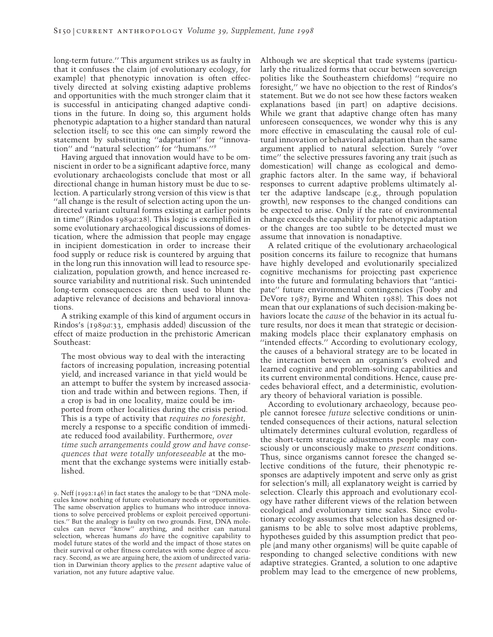long-term future.'' This argument strikes us as faulty in Although we are skeptical that trade systems (particuthat it confuses the claim (of evolutionary ecology, for larly the ritualized forms that occur between sovereign tively directed at solving existing adaptive problems foresight,'' we have no objection to the rest of Rindos's and opportunities with the much stronger claim that it statement. But we do not see how these factors weaken is successful in anticipating changed adaptive condi- explanations based (in part) on adaptive decisions. tions in the future. In doing so, this argument holds While we grant that adaptive change often has many phenotypic adaptation to a higher standard than natural unforeseen consequences, we wonder why this is any selection itself; to see this one can simply reword the more effective in emasculating the causal role of culstatement by substituting "adaptation" for "innova- tural innovation or behavioral adaptation than the same<br>tion" and "natural selection" for "humans."<sup>9</sup> argument applied to natural selection. Surely "over

niscient in order to be a significant adaptive force, many domestication) will change as ecological and demoevolutionary archaeologists conclude that most or all graphic factors alter. In the same way, if behavioral directional change in human history must be due to se- responses to current adaptive problems ultimately allection. A particularly strong version of this view is that ter the adaptive landscape (e.g., through population ''all change is the result of selection acting upon the un- growth), new responses to the changed conditions can directed variant cultural forms existing at earlier points be expected to arise. Only if the rate of environmental in time'' (Rindos 1989*a*:28). This logic is exemplified in change exceeds the capability for phenotypic adaptation some evolutionary archaeological discussions of domes- or the changes are too subtle to be detected must we tication, where the admission that people may engage assume that innovation is nonadaptive. in incipient domestication in order to increase their A related critique of the evolutionary archaeological food supply or reduce risk is countered by arguing that position concerns its failure to recognize that humans in the long run this innovation will lead to resource spe- have highly developed and evolutionarily specialized cialization, population growth, and hence increased re- cognitive mechanisms for projecting past experience source variability and nutritional risk. Such unintended into the future and formulating behaviors that ''anticiadaptive relevance of decisions and behavioral innova- DeVore 1987; Byrne and Whiten 1988). This does not tions. mean that our explanations of such decision-making be-

The most obvious way to deal with the interacting<br>factors of increasing population, increasing potential<br>learned cognitive and problem-solving capabilities and<br>yield, and increased variance in that yield would be<br>learned

cules can never "know" anything, and neither can natural selection, whereas humans *do* have the cognitive capability to hypotheses guided by this assumption predict that peo-<br>model future states of the world and the impact of those states on ple (and many other organisms) will racy. Second, as we are arguing here, the axiom of undirected varia-<br>tion in Darwinian theory applies to the *present* adaptive value of

example) that phenotypic innovation is often effec- polities like the Southeastern chiefdoms) ''require no unfore seen consequences, we wonder why this is any argument applied to natural selection. Surely "over Having argued that innovation would have to be om- time'' the selective pressures favoring any trait (such as

long-term consequences are then used to blunt the pate'' future environmental contingencies (Tooby and A striking example of this kind of argument occurs in haviors locate the *cause* of the behavior in its actual fu-Rindos's (1989*a*:33, emphasis added) discussion of the ture results, nor does it mean that strategic or decisioneffect of maize production in the prehistoric American making models place their explanatory emphasis on Southeast:  $"interaded effects." According to evolutionary ecology,$ 

for selection's mill; all explanatory weight is carried by 9. Neff (1992:146) in fact states the analogy to be that ''DNA mole- selection. Clearly this approach and evolutionary ecolcules know nothing of future evolutionary needs or opportunities. Ogy have rather different views of the relation between<br>The same observation applies to humans who introduce innova-<br>tions to solve perceived problems or ex adaptive strategies. Granted, a solution to one adaptive variation, not any future adaptive value. **problem may lead to the emergence of new problems**,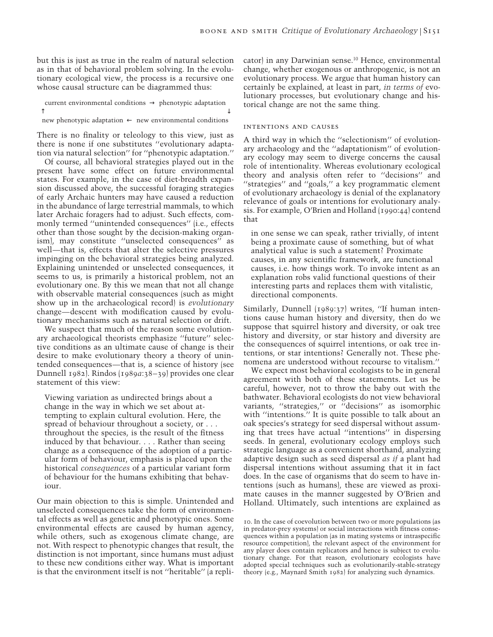but this is just as true in the realm of natural selection cator) in any Darwinian sense.<sup>10</sup> Hence, environmental as in that of behavioral problem solving. In the evolu- change, whether exogenous or anthropogenic, is not an tionary ecological view, the process is a recursive one evolutionary process. We argue that human history can whose causal structure can be diagrammed thus: certainly be explained, at least in part, *in terms of* evo-

new phenotypic adaptation ← new environmental conditions

other than those sought by the decision-making organ-<br>in one sense we can speak, rather trivially, of intent<br>ism), may constitute "unselected consequences" as<br>being a proximate cause of something, but of what ism), may constitute "unselected consequences" as being a proximate cause of something, but of what well—that is, effects that alter the selective pressures analytical value is such a statement? Proximate well—that is, effects that alter the selective pressures analytical value is such a statement? Proximate impinging on the behavioral strategies being analyzed. impinging on the behavioral strategies being analyzed. causes, in any scientific framework, are functional Explaining unintended or unselected consequences, it causes, i.e. how things work. To invoke intent as a Explaining unintended or unselected consequences, it causes, i.e. how things work. To invoke intent as an seems to us, is primarily a historical problem, not an explanation robs valid functional questions of their evolutionary one. By this we mean that not all change interesting parts and replaces them with vitalistic, with observable material consequences (such as might directional components.<br>show up in the archaeological record) is *evolutionary* 

ary archaeological theorists emphasize "future" selective conditions as an ultimate cause of change is their<br>desire to make evolutionary theory a theory of unin-<br>tended consequences—that is, a science of history (see and a

ular form of behaviour, emphasis is placed upon the of behaviour for the humans exhibiting that behav-

tal effects as well as genetic and phenotypic ones. Some <sub>10</sub>. In the case of coevolution between two or more populations (as environmental effects are caused by human agency, in predator-prev systems) or social interactio is that the environment itself is not ''heritable'' (a repli- theory (e.g., Maynard Smith 1982) for analyzing such dynamics.

current environmental conditions  $\rightarrow$  phenotypic adaptation torical change are not the same thing. ↑

## intentions and causes

There is no finality or teleology to this view, just as<br>there is none if one substitutes "evolutionary adapta-<br>tion via natural selection ary archaeology and the "adaptationism" of evolution-<br>tion via natural selection" fo

explanation robs valid functional questions of their

change—descent with modification caused by evolu-<br>tionary mechanisms such as natural selection or drift.<br>We suppose that squirrel history and diversity, then do we<br>We suppose that much of the reason some evolution We suspect that much of the reason some evolution-<br>w archaeological theorists emphasize "future" selection bistory and diversity, or star history and diversity are

Dunnell 1982). Rindos (1989a:38–39) provides one clear<br>statement with both of these statements. Let us be<br>areful, however, not to throw the baby out with the Viewing variation as undirected brings about a bathwater. Behavioral ecologists do not view behavioral change in the way in which we set about at- variants, ''strategies,'' or ''decisions'' as isomorphic tempting to explain cultural evolution. Here, the with ''intentions.'' It is quite possible to talk about an spread of behaviour throughout a society, or . . . oak species's strategy for seed dispersal without assumthroughout the species, is the result of the fitness ing that trees have actual ''intentions'' in dispersing induced by that behaviour. . . . Rather than seeing seeds. In general, evolutionary ecology employs such change as a consequence of the adoption of a partic-<br>strategic language as a convenient shorthand, analyzing change as a consequence of the adoption of a partic-<br>ular form of behaviour, emphasis is placed upon the adaptive design such as seed dispersal *as if* a plant had historical *consequences* of a particular variant form dispersal intentions without assuming that it in fact iour. tentions (such as humans), these are viewed as proximate causes in the manner suggested by O'Brien and Our main objection to this is simple. Unintended and Holland. Ultimately, such intentions are explained as unselected consequences take the form of environmen-

in predator-prey systems) or social interactions with fitness consewhile others, such as exogenous climate change, are quences within a population (as in mating systems or intraspecific<br>not With respect to phenotypic changes that result the resource competition), the relevant aspect of th not. With respect to phenotypic changes that result, the<br>distinction is not important, since humans must adjust<br>to any player does contain replicators and hence is subject to evolu-<br>to these new conditions either way. What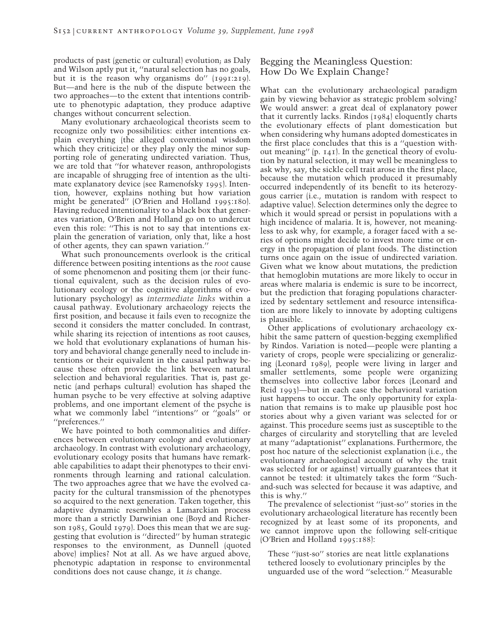products of past (genetic or cultural) evolution; as Daly Begging the Meaningless Question:<br>and Wilson aptly put it, "natural selection has no goals, How Do We Explain Change?<br>but it is the reason why organisms do" (1991:2

more than a strictly Darwinian one (Boyd and Richer-<br>son 1985, Gould 1979). Does this mean that we are sug-<br>gesting that evolution is "directed" by human strategic<br>responses to the environment, as Dunnell (quoted (O'Brien above) implies? Not at all. As we have argued above, These ''just-so'' stories are neat little explanations phenotypic adaptation in response to environmental tethered loosely to evolutionary principles by the conditions does not cause change, it *is* change. unguarded use of the word ''selection.'' Measurable

Har-and here is the mulk of he labour between the Wate can the evolutionary achieved by the calibration of the labour system of the distance of the continuous comparisons of the calibration of the system of the continuous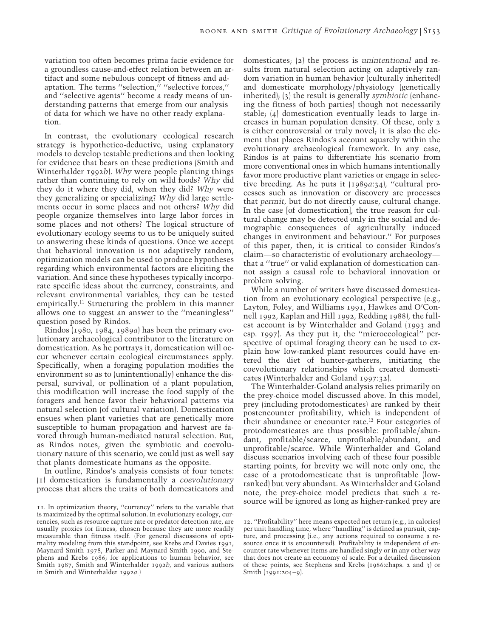variation too often becomes prima facie evidence for domesticates; (2) the process is *unintentional* and re-

In contrast, the crossing energy is circle as and else clooped research is triche connected or truly nevel it is also the closing energy is hypotheteco-deductric, using explanatory ment that places Kindos's account square

a groundless cause-and-effect relation between an ar- sults from natural selection acting on adaptively rantifact and some nebulous concept of fitness and ad- dom variation in human behavior (culturally inherited) aptation. The terms ''selection,'' ''selective forces,'' and domesticate morphology/physiology (genetically and "selective agents" become a ready means of un-<br>inherited); (3) the result is generally *symbiotic* (enhancderstanding patterns that emerge from our analysis ing the fitness of both parties) though not necessarily of data for which we have no other ready explana- stable; (4) domestication eventually leads to large intion. creases in human population density. Of these, only 2

source will be ignored as long as higher-ranked prey are 11. In optimization theory, ''currency'' refers to the variable that

is maximized by the optimal solution. In evolutionary ecology, currencies, such as resource capture rate or predator detection rate, are usually proxies for fitness, chosen because they are more readily mality modeling from this standpoint, see Krebs and Davies 1991, source once it is encountered). Profitability is independent of en-<br>Maynard Smith 1978, Parker and Maynard Smith 1990, and Ste-counter rate whenever items ar in Smith and Winterhalder 1992*a*.) Smith (1991:204-9).

<sup>12. &</sup>quot;Profitability" here means expected net return (e.g., in calories) per unit handling time, where "handling" is defined as pursuit, capmeasurable than fitness itself. (For general discussions of opti- ture, and processing (i.e., any actions required to consume a recounter rate whenever items are handled singly or in any other way phens and Krebs 1986; for applications to human behavior, see that does not create an economy of scale. For a detailed discussion Smith 1987, Smith and Winterhalder 1992b, and various authors of these points, see Stephens of these points, see Stephens and Krebs (1986:chaps. 2 and 3) or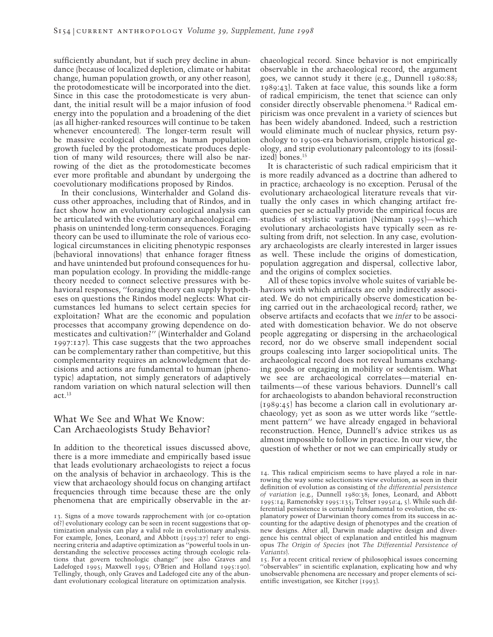sufficiently abundant, but if such prey decline in abun- chaeological record. Since behavior is not empirically tion of many wild resources; there will also be nar- ized) bones.<sup>15</sup> rowing of the diet as the protodomesticate becomes It is characteristic of such radical empiricism that it

cuss other approaches, including that of Rindos, and in tually the only cases in which changing artifact frefact show how an evolutionary ecological analysis can quencies per se actually provide the empirical focus are phasis on unintended long-term consequences. Foraging evolutionary archaeologists have typically seen as retheory can be used to illuminate the role of various eco- sulting from drift, not selection. In any case, evolution-(behavioral innovations) that enhance forager fitness as well. These include the origins of domestication, and have unintended but profound consequences for hu- population aggregation and dispersal, collective labor, man population ecology. In providing the middle-range and the origins of complex societies. havioral responses, "foraging theory can supply hypoth-haviors with which artifacts are only indirectly associeses on questions the Rindos model neglects: What cir- ated. We do not empirically observe domestication becumstances led humans to select certain species for ing carried out in the archaeological record; rather, we exploitation? What are the economic and population observe artifacts and ecofacts that we *infer* to be associprocesses that accompany growing dependence on do- ated with domestication behavior. We do not observe mesticates and cultivation?'' (Winterhalder and Goland people aggregating or dispersing in the archaeological 1997:127). This case suggests that the two approaches record, nor do we observe small independent social complementarity requires an acknowledgment that de- archaeological record does not reveal humans exchangtypic) adaptation, not simply generators of adaptively we see are archaeological correlates—material en-

there is a more immediate and empirically based issue that leads evolutionary archaeologists to reject a focus on the analysis of behavior in archaeology. This is the 14. This radical empiricism seems to have played a role in nar-<br>view that archaeology should focus on changing artifact.

dance (because of localized depletion, climate or habitat observable in the archaeological record, the argument change, human population growth, or any other reason), goes, we cannot study it there (e.g., Dunnell 1980:88; the protodomesticate will be incorporated into the diet. 1989:43). Taken at face value, this sounds like a form Since in this case the protodomesticate is very abun- of radical empiricism, the tenet that science can only dant, the initial result will be a major infusion of food consider directly observable phenomena.<sup>14</sup> Radical emenergy into the population and a broadening of the diet piricism was once prevalent in a variety of sciences but (as all higher-ranked resources will continue to be taken has been widely abandoned. Indeed, such a restriction whenever encountered). The longer-term result will would eliminate much of nuclear physics, return psybe massive ecological change, as human population chology to 1950s-era behaviorism, cripple historical gegrowth fueled by the protodomesticate produces deple- ology, and strip evolutionary paleontology to its (fossil-

ever more profitable and abundant by undergoing the is more readily advanced as a doctrine than adhered to coevolutionary modifications proposed by Rindos. in practice; archaeology is no exception. Perusal of the In their conclusions, Winterhalder and Goland dis- evolutionary archaeological literature reveals that virbe articulated with the evolutionary archaeological em- studies of stylistic variation (Neiman 1995)—which logical circumstances in eliciting phenotypic responses ary archaeologists are clearly interested in larger issues

theory needed to connect selective pressures with be- All of these topics involve whole suites of variable becan be complementary rather than competitive, but this groups coalescing into larger sociopolitical units. The cisions and actions are fundamental to human (pheno- ing goods or engaging in mobility or sedentism. What random variation on which natural selection will then tailments—of these various behaviors. Dunnell's call for archaeologists to abandon behavioral reconstruction for archaeologists to abandon behavioral reconstruction (1989:45) has become a clarion call in evolutionary ar-What We See and What We Know:<br>
Can Archaeologists Study Behavior?<br>
Can Archaeologists Study Behavior?<br>
Can Archaeologists Study Behavior? reconstruction. Hence, Dunnell's advice strikes us as almost impossible to follow in practice. In our view, the In addition to the theoretical issues discussed above, question of whether or not we can empirically study or

timization analysis can play a valid role in evolutionary analysis. new designs. After all, Darwin made adaptive design and diver-<br>For example, Jones, Leonard, and Abbott (1995:27) refer to engi-<br>gence his central object o derstanding the selective processes acting through ecologic rela-<br>tions that govern technologic change" (see also Graves and tions that govern technologic change" (see also Graves and 15. For a recent critical review of philosophical issues concerning<br>Ladefoged 1995; Maxwell 1995; O'Brien and Holland 1995:190). "observables" in scientific explan Ladefoged 1995; Maxwell 1995; O'Brien and Holland 1995:190). "observables" in scientific explanation, explicating how and why Tellingly, though, only Graves and Ladefoged cite any of the abun-unobservable phenomena are nec dant evolutionary ecological literature on optimization analysis. entific investigation, see Kitcher (1993).

view that archaeology should focus on changing artifact<br>frequencies through time because these are the only<br>phenomena that are empirically observable in the ar-<br>phenomena that are empirically observable in the ar-<br> $\frac{1}{19$ 1995:14; Ramenofsky 1995:135; Teltser 1995a:4, 5). While such differential persistence is certainly fundamental to evolution, the ex-13. Signs of a move towards rapprochement with (or co-optation planatory power of Darwinian theory comes from its success in acof?) evolutionary ecology can be seen in recent suggestions that op-<br>timization analysis can play a valid role in evolutionary analysis. new designs. After all, Darwin made adaptive design and divergence his central object of explanation and entitled his magnum neering criteria and adaptive optimization as ''powerful tools in un- opus *The Origin of Species* (not *The Differential Persistence of*

unobservable phenomena are necessary and proper elements of sci-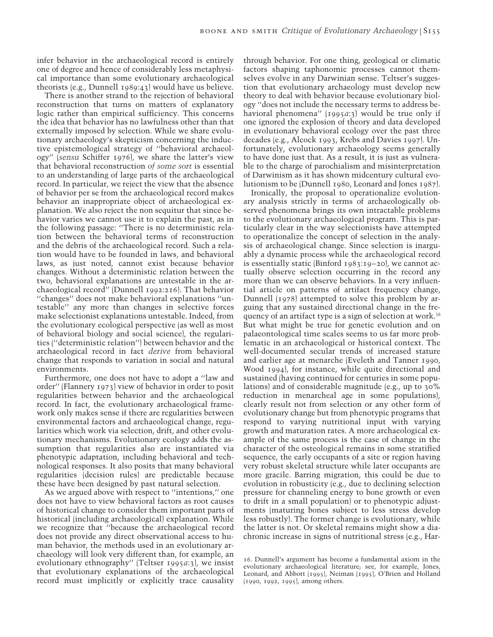reconstruction that turns on matters of explanatory ogy ''does not include the necessary terms to address belogic rather than empirical sufficiency. This concerns havioral phenomena'' (1995*a*:3) would be true only if the idea that behavior has no lawfulness other than that one ignored the explosion of theory and data developed externally imposed by selection. While we share evolu- in evolutionary behavioral ecology over the past three tionary archaeology's skepticism concerning the induc- decades (e.g., Alcock 1993, Krebs and Davies 1997). Untive epistemological strategy of ''behavioral archaeol- fortunately, evolutionary archaeology seems generally ogy'' (*sensu* Schiffer 1976), we share the latter's view to have done just that. As a result, it is just as vulnerathat behavioral reconstruction *of some sort* is essential ble to the charge of parochialism and misinterpretation to an understanding of large parts of the archaeological of Darwinism as it has shown midcentury cultural evorecord. In particular, we reject the view that the absence lutionism to be (Dunnell 1980, Leonard and Jones 1987). of behavior per se from the archaeological record makes Ironically, the proposal to operationalize evolutionbehavior an inappropriate object of archaeological ex- ary analysis strictly in terms of archaeologically obplanation. We also reject the non sequitur that since be- served phenomena brings its own intractable problems havior varies we cannot use it to explain the past, as in to the evolutionary archaeological program. This is parthe following passage: ''There is no deterministic rela- ticularly clear in the way selectionists have attempted tion between the behavioral terms of reconstruction to operationalize the concept of selection in the analyand the debris of the archaeological record. Such a rela- sis of archaeological change. Since selection is inargution would have to be founded in laws, and behavioral ably a dynamic process while the archaeological record laws, as just noted, cannot exist because behavior is essentially static (Binford 1983:19–20), we cannot acchanges. Without a deterministic relation between the tually observe selection occurring in the record any two, behavioral explanations are untestable in the ar- more than we can observe behaviors. In a very influenchaeological record'' (Dunnell 1992:216). That behavior tial article on patterns of artifact frequency change, ''changes'' does not make behavioral explanations ''un- Dunnell (1978) attempted to solve this problem by artestable'' any more than changes in selective forces guing that any sustained directional change in the fremake selectionist explanations untestable. Indeed, from quency of an artifact type is a sign of selection at work. <sup>16</sup> the evolutionary ecological perspective (as well as most But what might be true for genetic evolution and on of behavioral biology and social science), the regulari-<br>ties ("deterministic relation") between behavior and the lematic in an archaeological or historical context. The archaeological record in fact *derive* from behavioral well-documented secular trends of increased stature change that responds to variation in social and natural and earlier age at menarche (Eveleth and Tanner 1990, environments. Wood 1994), for instance, while quite directional and

order'' (Flannery 1973) view of behavior in order to posit lations) and of considerable magnitude (e.g., up to 30% regularities between behavior and the archaeological reduction in menarcheal age in some populations), record. In fact, the evolutionary archaeological frame- clearly result not from selection or any other form of work only makes sense if there are regularities between evolutionary change but from phenotypic programs that environmental factors and archaeological change, regu- respond to varying nutritional input with varying larities which work via selection, drift, and other evolu- growth and maturation rates. A more archaeological extionary mechanisms. Evolutionary ecology adds the as- ample of the same process is the case of change in the sumption that regularities also are instantiated via character of the osteological remains in some stratified phenotypic adaptation, including behavioral and tech- sequence, the early occupants of a site or region having nological responses. It also posits that many behavioral very robust skeletal structure while later occupants are regularities (decision rules) are predictable because more gracile. Barring migration, this could be due to these have been designed by past natural selection. evolution in robusticity (e.g., due to declining selection

does not have to view behavioral factors as root causes to drift in a small population) or to phenotypic adjustof historical change to consider them important parts of ments (maturing bones subject to less stress develop historical (including archaeological) explanation. While less robustly). The former change is evolutionary, while we recognize that ''because the archaeological record the latter is not. Or skeletal remains might show a diadoes not provide any direct observational access to hu- chronic increase in signs of nutritional stress (e.g., Harman behavior, the methods used in an evolutionary archaeology will look very different than, for example, an<br>evolutionary ethnography'' (Teltser 1995*a*:3), we insist<br>that evolutionary explanations of the archaeological and Abbott (1995), Neiman (1995), O'Brien and Holland record must implicitly or explicitly trace causality (1990, 1992, 1995), among others.

infer behavior in the archaeological record is entirely through behavior. For one thing, geological or climatic one of degree and hence of considerably less metaphysi- factors shaping taphonomic processes cannot themcal importance than some evolutionary archaeological selves evolve in any Darwinian sense. Teltser's suggestheorists (e.g., Dunnell 1989:43) would have us believe. tion that evolutionary archaeology must develop new There is another strand to the rejection of behavioral theory to deal with behavior because evolutionary biol-

lematic in an archaeological or historical context. The Furthermore, one does not have to adopt a "law and sustained (having continued for centuries in some popu-As we argued above with respect to ''intentions,'' one pressure for channeling energy to bone growth or even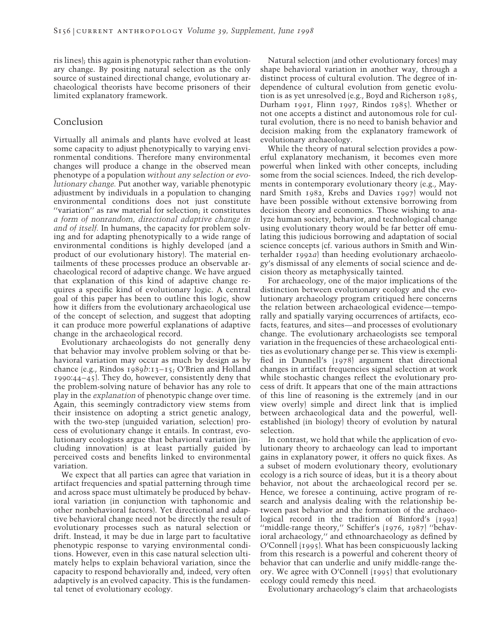Virtually all animals and plants have evolved at least evolutionary archaeology. some capacity to adjust phenotypically to varying envi- While the theory of natural selection provides a powronmental conditions. Therefore many environmental erful explanatory mechanism, it becomes even more changes will produce a change in the observed mean powerful when linked with other concepts, including phenotype of a population *without any selection or evo-* some from the social sciences. Indeed, the rich develop*lutionary change.* Put another way, variable phenotypic ments in contemporary evolutionary theory (e.g., Mayadjustment by individuals in a population to changing nard Smith 1982, Krebs and Davies 1997) would not environmental conditions does not just constitute have been possible without extensive borrowing from ''variation'' as raw material for selection; it constitutes decision theory and economics. Those wishing to ana*a form of nonrandom, directional adaptive change in* lyze human society, behavior, and technological change *and of itself.* In humans, the capacity for problem solv- using evolutionary theory would be far better off emuing and for adapting phenotypically to a wide range of lating this judicious borrowing and adaptation of social environmental conditions is highly developed (and a science concepts (cf. various authors in Smith and Winproduct of our evolutionary history). The material en- terhalder 1992*a*) than heeding evolutionary archaeolotailments of these processes produce an observable ar- gy's dismissal of any elements of social science and dechaeological record of adaptive change. We have argued cision theory as metaphysically tainted. that explanation of this kind of adaptive change re- For archaeology, one of the major implications of the quires a specific kind of evolutionary logic. A central distinction between evolutionary ecology and the evogoal of this paper has been to outline this logic, show lutionary archaeology program critiqued here concerns how it differs from the evolutionary archaeological use the relation between archaeological evidence—tempoof the concept of selection, and suggest that adopting rally and spatially varying occurrences of artifacts, ecoit can produce more powerful explanations of adaptive facts, features, and sites—and processes of evolutionary change in the archaeological record. change. The evolutionary archaeologists see temporal

that behavior may involve problem solving or that be- ties as evolutionary change per se. This view is exemplihavioral variation may occur as much by design as by fied in Dunnell's (1978) argument that directional chance (e.g., Rindos 1989*b*:13–15; O'Brien and Holland changes in artifact frequencies signal selection at work 1990:44–45). They do, however, consistently deny that while stochastic changes reflect the evolutionary prothe problem-solving nature of behavior has any role to cess of drift. It appears that one of the main attractions play in the *explanation* of phenotypic change over time. of this line of reasoning is the extremely (and in our Again, this seemingly contradictory view stems from view overly) simple and direct link that is implied their insistence on adopting a strict genetic analogy, between archaeological data and the powerful, wellwith the two-step (unguided variation, selection) pro- established (in biology) theory of evolution by natural cess of evolutionary change it entails. In contrast, evo- selection. lutionary ecologists argue that behavioral variation (in- In contrast, we hold that while the application of evocluding innovation) is at least partially guided by lutionary theory to archaeology can lead to important perceived costs and benefits linked to environmental gains in explanatory power, it offers no quick fixes. As variation. **a** subset of modern evolutionary theory, evolutionary

artifact frequencies and spatial patterning through time behavior, not about the archaeological record per se. and across space must ultimately be produced by behav- Hence, we foresee a continuing, active program of reioral variation (in conjunction with taphonomic and search and analysis dealing with the relationship beother nonbehavioral factors). Yet directional and adap- tween past behavior and the formation of the archaeoevolutionary processes such as natural selection or ''middle-range theory,'' Schiffer's (1976, 1987) ''behavdrift. Instead, it may be due in large part to facultative ioral archaeology,'' and ethnoarchaeology as defined by phenotypic response to varying environmental condi- O'Connell (1995). What has been conspicuously lacking tions. However, even in this case natural selection ulti- from this research is a powerful and coherent theory of mately helps to explain behavioral variation, since the behavior that can underlie and unify middle-range thecapacity to respond behaviorally and, indeed, very often ory. We agree with O'Connell (1995) that evolutionary adaptively is an evolved capacity. This is the fundamen-<br>tal tenet of evolutionary ecology.<br>Evolutionary archaeology's cla

ris lines); this again is phenotypic rather than evolution- Natural selection (and other evolutionary forces) may ary change. By positing natural selection as the only shape behavioral variation in another way, through a source of sustained directional change, evolutionary ar-<br>distinct process of cultural evolution. The degree of inchaeological theorists have become prisoners of their dependence of cultural evolution from genetic evolulimited explanatory framework. tion is as yet unresolved (e.g., Boyd and Richerson 1985, Durham 1991, Flinn 1997, Rindos 1985). Whether or not one accepts a distinct and autonomous role for cul-Conclusion **tural evolution**, there is no need to banish behavior and decision making from the explanatory framework of

Evolutionary archaeologists do not generally deny variation in the frequencies of these archaeological enti-

gains in explanatory power, it offers no quick fixes. As We expect that all parties can agree that variation in ecology is a rich source of ideas, but it is a theory about tive behavioral change need not be directly the result of logical record in the tradition of Binford's (1992)

Evolutionary archaeology's claim that archaeologists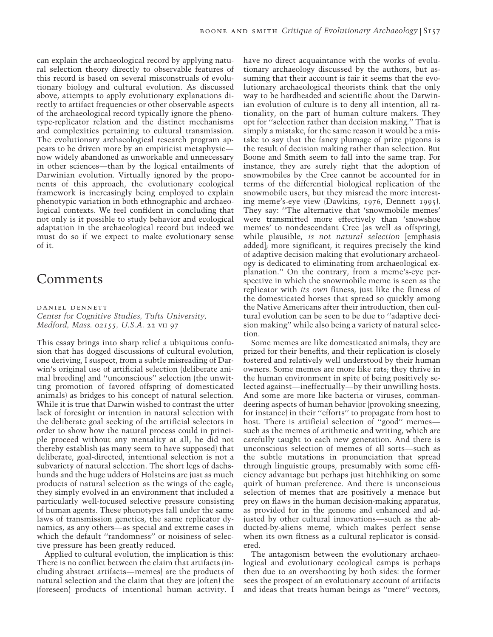ral selection theory directly to observable features of tionary archaeology discussed by the authors, but asthis record is based on several misconstruals of evolu- suming that their account is fair it seems that the evotionary biology and cultural evolution. As discussed lutionary archaeological theorists think that the only above, attempts to apply evolutionary explanations di- way to be hardheaded and scientific about the Darwinrectly to artifact frequencies or other observable aspects ian evolution of culture is to deny all intention, all raof the archaeological record typically ignore the pheno- tionality, on the part of human culture makers. They type-replicator relation and the distinct mechanisms opt for ''selection rather than decision making.'' That is and complexities pertaining to cultural transmission. simply a mistake, for the same reason it would be a mis-The evolutionary archaeological research program ap-<br>take to say that the fancy plumage of prize pigeons is pears to be driven more by an empiricist metaphysic— the result of decision making rather than selection. But now widely abandoned as unworkable and unnecessary Boone and Smith seem to fall into the same trap. For in other sciences—than by the logical entailments of instance, they are surely right that the adoption of Darwinian evolution. Virtually ignored by the propo- snowmobiles by the Cree cannot be accounted for in nents of this approach, the evolutionary ecological terms of the differential biological replication of the framework is increasingly being employed to explain snowmobile users, but they misread the more interestphenotypic variation in both ethnographic and archaeo- ing meme's-eye view (Dawkins, 1976, Dennett 1995). logical contexts. We feel confident in concluding that They say: ''The alternative that 'snowmobile memes' not only is it possible to study behavior and ecological were transmitted more effectively than 'snowshoe adaptation in the archaeological record but indeed we memes' to nondescendant Cree (as well as offspring), must do so if we expect to make evolutionary sense while plausible, *is not natural selection* [emphasis of it. added]; more significant, it requires precisely the kind

This essay brings into sharp relief a ubiquitous confu- Some memes are like domesticated animals; they are sion that has dogged discussions of cultural evolution, prized for their benefits, and their replication is closely one deriving, I suspect, from a subtle misreading of Dar- fostered and relatively well understood by their human win's original use of artificial selection (deliberate ani- owners. Some memes are more like rats; they thrive in mal breeding) and ''unconscious'' selection (the unwit- the human environment in spite of being positively seting promotion of favored offspring of domesticated lected against—ineffectually—by their unwilling hosts. animals) as bridges to his concept of natural selection. And some are more like bacteria or viruses, comman-While it is true that Darwin wished to contrast the utter deering aspects of human behavior (provoking sneezing, lack of foresight or intention in natural selection with for instance) in their "efforts" to propagate from host to the deliberate goal seeking of the artificial selectors in host. There is artificial selection of ''good'' memes order to show how the natural process could in princi- such as the memes of arithmetic and writing, which are ple proceed without any mentality at all, he did not carefully taught to each new generation. And there is thereby establish (as many seem to have supposed) that unconscious selection of memes of all sorts—such as deliberate, goal-directed, intentional selection is not a the subtle mutations in pronunciation that spread subvariety of natural selection. The short legs of dachs-<br>through linguistic groups, presumably with some effihunds and the huge udders of Holsteins are just as much ciency advantage but perhaps just hitchhiking on some products of natural selection as the wings of the eagle; quirk of human preference. And there is unconscious they simply evolved in an environment that included a selection of memes that are positively a menace but particularly well-focused selective pressure consisting prey on flaws in the human decision-making apparatus, of human agents. These phenotypes fall under the same as provided for in the genome and enhanced and adlaws of transmission genetics, the same replicator dy- justed by other cultural innovations—such as the abnamics, as any others—as special and extreme cases in ducted-by-aliens meme, which makes perfect sense which the default "randomness" or noisiness of selec- when its own fitness as a cultural replicator is considtive pressure has been greatly reduced. ered.

There is no conflict between the claim that artifacts (in- logical and evolutionary ecological camps is perhaps cluding abstract artifacts—memes) are the products of then due to an overshooting by both sides: the former natural selection and the claim that they are (often) the sees the prospect of an evolutionary account of artifacts (foreseen) products of intentional human activity. I and ideas that treats human beings as ''mere'' vectors,

can explain the archaeological record by applying natu- have no direct acquaintance with the works of evoluof adaptive decision making that evolutionary archaeology is dedicated to eliminating from archaeological ex-**Comments** planation.'' On the contrary, from a meme's-eye per-<br>spective in which the snowmobile meme is seen as the replicator with *its own* fitness, just like the fitness of the domesticated horses that spread so quickly among DANIEL DENNETT the Native Americans after their introduction, then cul-*Center for Cognitive Studies, Tufts University,* tural evolution can be seen to be due to ''adaptive deci- $\phi$  *making''* while also being a variety of natural selection.

Applied to cultural evolution, the implication is this: The antagonism between the evolutionary archaeo-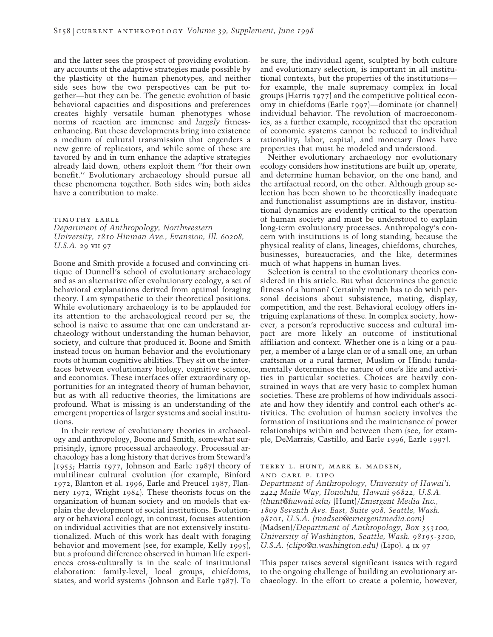ary accounts of the adaptive strategies made possible by and evolutionary selection, is important in all instituthe plasticity of the human phenotypes, and neither tional contexts, but the properties of the institutions side sees how the two perspectives can be put to- for example, the male supremacy complex in local gether—but they can be. The genetic evolution of basic groups (Harris 1977) and the competitive political econbehavioral capacities and dispositions and preferences omy in chiefdoms (Earle 1997)—dominate (or channel) creates highly versatile human phenotypes whose individual behavior. The revolution of macroeconom-<br>norms of reaction are immense and *largely* fitness-ics, as a further example, recognized that the operation enhancing. But these developments bring into existence of economic systems cannot be reduced to individual a medium of cultural transmission that engenders a rationality; labor, capital, and monetary flows have new genre of replicators, and while some of these are properties that must be modeled and understood. favored by and in turn enhance the adaptive strategies Neither evolutionary archaeology nor evolutionary already laid down, others exploit them ''for their own ecology considers how institutions are built up, operate, benefit.'' Evolutionary archaeology should pursue all and determine human behavior, on the one hand, and these phenomena together. Both sides win; both sides the artifactual record, on the other. Although group sehave a contribution to make. lection has been shown to be theoretically inadequate

Boone and Smith provide a focused and convincing cri- much of what happens in human lives. tique of Dunnell's school of evolutionary archaeology Selection is central to the evolutionary theories consociety, and culture that produced it. Boone and Smith roots of human cognitive abilities. They sit on the inter-

ogy and anthropology, Boone and Smith, somewhat sur- ple, DeMarrais, Castillo, and Earle 1996, Earle 1997). prisingly, ignore processual archaeology. Processual archaeology has a long history that derives from Steward's (1955; Harris 1977, Johnson and Earle 1987) theory of terry l. hunt, mark e. madsen, multilinear cultural evolution (for example, Binford AND CARL P. LIPO 1972, Blanton et al. 1996, Earle and Preucel 1987, Flan- *Department of Anthropology, University of Hawai'i,* nery 1972, Wright 1984). These theorists focus on the *2424 Maile Way, Honolulu, Hawaii 96822, U.S.A.* organization of human society and on models that ex- *(thunt@hawaii.edu)* (Hunt)*/Emergent Media Inc.,* plain the development of social institutions. Evolution- *1809 Seventh Ave. East, Suite 908, Seattle, Wash.* ary or behavioral ecology, in contrast, focuses attention *98101, U.S.A. (madsen@emergentmedia.com)* tionalized. Much of this work has dealt with foraging *University of Washington, Seattle, Wash. 98195-3100,* behavior and movement (see, for example, Kelly 1995), *U.S.A. (clipo@u.washington.edu)* (Lipo). 4 ix 97 but a profound difference observed in human life experiences cross-culturally is in the scale of institutional This paper raises several significant issues with regard elaboration: family-level, local groups, chiefdoms, to the ongoing challenge of building an evolutionary arstates, and world systems (Johnson and Earle 1987). To chaeology. In the effort to create a polemic, however,

and the latter sees the prospect of providing evolution- be sure, the individual agent, sculpted by both culture ics, as a further example, recognized that the operation

and functionalist assumptions are in disfavor, institutional dynamics are evidently critical to the operation timothy earle of human society and must be understood to explain *Department of Anthropology, Northwestern* long-term evolutionary processes. Anthropology's con-*University, 1810 Hinman Ave., Evanston, Ill. 60208,* cern with institutions is of long standing, because the *U.S.A.* 29 vii 97 **physical reality of clans, lineages, chiefdoms, churches,** businesses, bureaucracies, and the like, determines

and as an alternative offer evolutionary ecology, a set of sidered in this article. But what determines the genetic behavioral explanations derived from optimal foraging fitness of a human? Certainly much has to do with pertheory. I am sympathetic to their theoretical positions. sonal decisions about subsistence, mating, display, While evolutionary archaeology is to be applauded for competition, and the rest. Behavioral ecology offers inits attention to the archaeological record per se, the triguing explanations of these. In complex society, howschool is naive to assume that one can understand ar- ever, a person's reproductive success and cultural imchaeology without understanding the human behavior, pact are more likely an outcome of institutional society, and culture that produced it. Boone and Smith affiliation and context. Whether one is a king or a pauinstead focus on human behavior and the evolutionary per, a member of a large clan or of a small one, an urban faces between evolutionary biology, cognitive science, mentally determines the nature of one's life and activiand economics. These interfaces offer extraordinary op- ties in particular societies. Choices are heavily conportunities for an integrated theory of human behavior, strained in ways that are very basic to complex human but as with all reductive theories, the limitations are societies. These are problems of how individuals associprofound. What is missing is an understanding of the ate and how they identify and control each other's acemergent properties of larger systems and social institu- tivities. The evolution of human society involves the tions. formation of institutions and the maintenance of power In their review of evolutionary theories in archaeol- relationships within and between them (see, for exam-

on individual activities that are not extensively institu- (Madsen)*/Department of Anthropology, Box 353100,*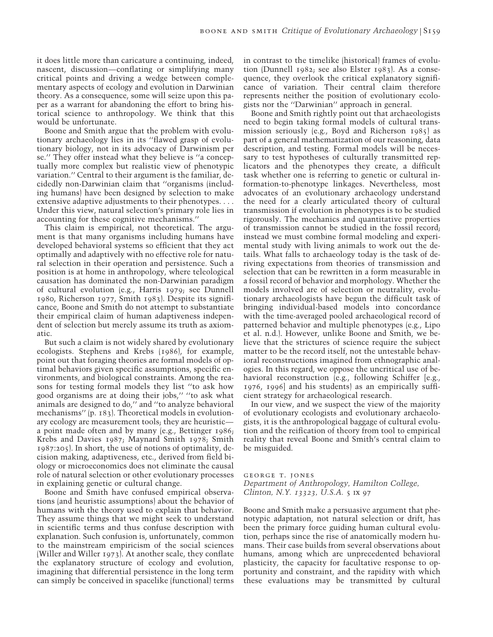it does little more than caricature a continuing, indeed, in contrast to the timelike (historical) frames of evolunascent, discussion—conflating or simplifying many tion (Dunnell 1982; see also Elster 1983). As a consecritical points and driving a wedge between comple- quence, they overlook the critical explanatory signifimentary aspects of ecology and evolution in Darwinian cance of variation. Their central claim therefore theory. As a consequence, some will seize upon this pa- represents neither the position of evolutionary ecoloper as a warrant for abandoning the effort to bring his- gists nor the ''Darwinian'' approach in general. torical science to anthropology. We think that this Boone and Smith rightly point out that archaeologists would be unfortunate. The need to begin taking formal models of cultural trans-

tionary archaeology lies in its ''flawed grasp of evolu- part of a general mathematization of our reasoning, data tionary biology, not in its advocacy of Darwinism per description, and testing. Formal models will be necesse." They offer instead what they believe is "a concep- sary to test hypotheses of culturally transmitted reptually more complex but realistic view of phenotypic licators and the phenotypes they create, a difficult variation." Central to their argument is the familiar, detask whether one is referring to genetic or cultural incidedly non-Darwinian claim that ''organisms (includ- formation-to-phenotype linkages. Nevertheless, most ing humans) have been designed by selection to make advocates of an evolutionary archaeology understand extensive adaptive adjustments to their phenotypes. . . . the need for a clearly articulated theory of cultural Under this view, natural selection's primary role lies in transmission if evolution in phenotypes is to be studied accounting for these cognitive mechanisms." rigorously. The mechanics and quantitative properties

ment is that many organisms including humans have instead we must combine formal modeling and experideveloped behavioral systems so efficient that they act mental study with living animals to work out the deoptimally and adaptively with no effective role for natu- tails. What falls to archaeology today is the task of deral selection in their operation and persistence. Such a riving expectations from theories of transmission and position is at home in anthropology, where teleological selection that can be rewritten in a form measurable in causation has dominated the non-Darwinian paradigm a fossil record of behavior and morphology. Whether the of cultural evolution (e.g., Harris 1979; see Dunnell models involved are of selection or neutrality, evolu-1980, Richerson 1977, Smith 1983). Despite its signifi- tionary archaeologists have begun the difficult task of cance, Boone and Smith do not attempt to substantiate bringing individual-based models into concordance their empirical claim of human adaptiveness indepen- with the time-averaged pooled archaeological record of dent of selection but merely assume its truth as axiom- patterned behavior and multiple phenotypes (e.g., Lipo atic. et al. n.d.). However, unlike Boone and Smith, we be-

ecologists. Stephens and Krebs (1986), for example, matter to be the record itself, not the untestable behavpoint out that foraging theories are formal models of op- ioral reconstructions imagined from ethnographic analtimal behaviors given specific assumptions, specific en- ogies. In this regard, we oppose the uncritical use of bevironments, and biological constraints. Among the rea- havioral reconstruction (e.g., following Schiffer [e.g., sons for testing formal models they list ''to ask how 1976, 1996] and his students) as an empirically suffigood organisms are at doing their jobs,'' ''to ask what cient strategy for archaeological research. animals are designed to do,'' and ''to analyze behavioral In our view, and we suspect the view of the majority mechanisms'' (p. 183). Theoretical models in evolution- of evolutionary ecologists and evolutionary archaeoloary ecology are measurement tools; they are heuristic— gists, it is the anthropological baggage of cultural evolua point made often and by many (e.g., Bettinger 1986; tion and the reification of theory from tool to empirical Krebs and Davies 1987; Maynard Smith 1978; Smith reality that reveal Boone and Smith's central claim to 1987:205). In short, the use of notions of optimality, de- be misguided. cision making, adaptiveness, etc., derived from field biology or microeconomics does not eliminate the causal role of natural selection or other evolutionary processes GEORGE T. JONES in explaining genetic or cultural change. *Department of Anthropology, Hamilton College,*

Boone and Smith have confused empirical observa- *Clinton, N.Y. 13323, U.S.A.* 5 ix 97 tions (and heuristic assumptions) about the behavior of humans with the theory used to explain that behavior. Boone and Smith make a persuasive argument that phe-They assume things that we might seek to understand notypic adaptation, not natural selection or drift, has in scientific terms and thus confuse description with been the primary force guiding human cultural evoluexplanation. Such confusion is, unfortunately, common tion, perhaps since the rise of anatomically modern huto the mainstream empiricism of the social sciences mans. Their case builds from several observations about (Willer and Willer 1973). At another scale, they conflate humans, among which are unprecedented behavioral the explanatory structure of ecology and evolution, plasticity, the capacity for facultative response to opimagining that differential persistence in the long term portunity and constraint, and the rapidity with which can simply be conceived in spacelike (functional) terms these evaluations may be transmitted by cultural

Boone and Smith argue that the problem with evolu- mission seriously (e.g., Boyd and Richerson 1985) as This claim is empirical, not theoretical. The argu- of transmission cannot be studied in the fossil record; But such a claim is not widely shared by evolutionary lieve that the strictures of science require the subject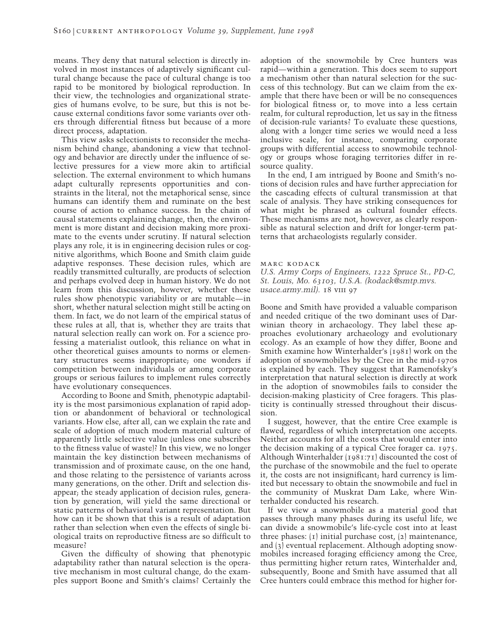means. They deny that natural selection is directly in- adoption of the snowmobile by Cree hunters was

nism behind change, abandoning a view that technol- groups with differential access to snowmobile technology and behavior are directly under the influence of se- ogy or groups whose foraging territories differ in relective pressures for a view more akin to artificial source quality. selection. The external environment to which humans In the end, I am intrigued by Boone and Smith's noadapt culturally represents opportunities and con- tions of decision rules and have further appreciation for straints in the literal, not the metaphorical sense, since the cascading effects of cultural transmission at that humans can identify them and ruminate on the best scale of analysis. They have striking consequences for course of action to enhance success. In the chain of what might be phrased as cultural founder effects. causal statements explaining change, then, the environ- These mechanisms are not, however, as clearly responment is more distant and decision making more proxi- sible as natural selection and drift for longer-term patmate to the events under scrutiny. If natural selection terns that archaeologists regularly consider. plays any role, it is in engineering decision rules or cognitive algorithms, which Boone and Smith claim guide adaptive responses. These decision rules, which are MARC KODACK readily transmitted culturally, are products of selection *U.S. Army Corps of Engineers, 1222 Spruce St., PD-C,* and perhaps evolved deep in human history. We do not *St. Louis, Mo. 63103, U.S.A. (kodack@smtp.mvs.* learn from this discussion, however, whether these *usace.army.mil*). 18 viii 97 rules show phenotypic variability or are mutable—in short, whether natural selection might still be acting on Boone and Smith have provided a valuable comparison them. In fact, we do not learn of the empirical status of and needed critique of the two dominant uses of Darthese rules at all, that is, whether they are traits that winian theory in archaeology. They label these apnatural selection really can work on. For a science pro- proaches evolutionary archaeology and evolutionary other theoretical guises amounts to norms or elemen- Smith examine how Winterhalder's (1981) work on the tary structures seems inappropriate; one wonders if adoption of snowmobiles by the Cree in the mid-1970s competition between individuals or among corporate is explained by each. They suggest that Ramenofsky's groups or serious failures to implement rules correctly interpretation that natural selection is directly at work have evolutionary consequences. in the adoption of snowmobiles fails to consider the

ity is the most parsimonious explanation of rapid adop- ticity is continually stressed throughout their discustion or abandonment of behavioral or technological sion. variants. How else, after all, can we explain the rate and I suggest, however, that the entire Cree example is to the fitness value of waste)? In this view, we no longer the decision making of a typical Cree forager ca. 1975. and those relating to the persistence of variants across it, the costs are not insignificant; hard currency is limappear; the steady application of decision rules, genera- the community of Muskrat Dam Lake, where Wintion by generation, will yield the same directional or terhalder conducted his research. static patterns of behavioral variant representation. But If we view a snowmobile as a material good that how can it be shown that this is a result of adaptation passes through many phases during its useful life, we rather than selection when even the effects of single bi- can divide a snowmobile's life-cycle cost into at least ological traits on reproductive fitness are so difficult to three phases:  $(1)$  initial purchase cost,  $(2)$  maintenance, measure? and (3) eventual replacement. Although adopting snow-

ples support Boone and Smith's claims? Certainly the Cree hunters could embrace this method for higher for-

volved in most instances of adaptively significant cul- rapid—within a generation. This does seem to support tural change because the pace of cultural change is too a mechanism other than natural selection for the sucrapid to be monitored by biological reproduction. In cess of this technology. But can we claim from the extheir view, the technologies and organizational strate- ample that there have been or will be no consequences gies of humans evolve, to be sure, but this is not be- for biological fitness or, to move into a less certain cause external conditions favor some variants over oth- realm, for cultural reproduction, let us say in the fitness ers through differential fitness but because of a more of decision-rule variants? To evaluate these questions, direct process, adaptation. **along with a longer time series we would need a less** This view asks selectionists to reconsider the mecha- inclusive scale, for instance, comparing corporate

fessing a materialist outlook, this reliance on what in ecology. As an example of how they differ, Boone and According to Boone and Smith, phenotypic adaptabil- decision-making plasticity of Cree foragers. This plas-

scale of adoption of much modern material culture of flawed, regardless of which interpretation one accepts. apparently little selective value (unless one subscribes Neither accounts for all the costs that would enter into maintain the key distinction between mechanisms of Although Winterhalder (1981:71) discounted the cost of transmission and of proximate cause, on the one hand, the purchase of the snowmobile and the fuel to operate many generations, on the other. Drift and selection dis- ited but necessary to obtain the snowmobile and fuel in

Given the difficulty of showing that phenotypic mobiles increased foraging efficiency among the Cree, adaptability rather than natural selection is the opera- thus permitting higher return rates, Winterhalder and, tive mechanism in most cultural change, do the exam- subsequently, Boone and Smith have assumed that all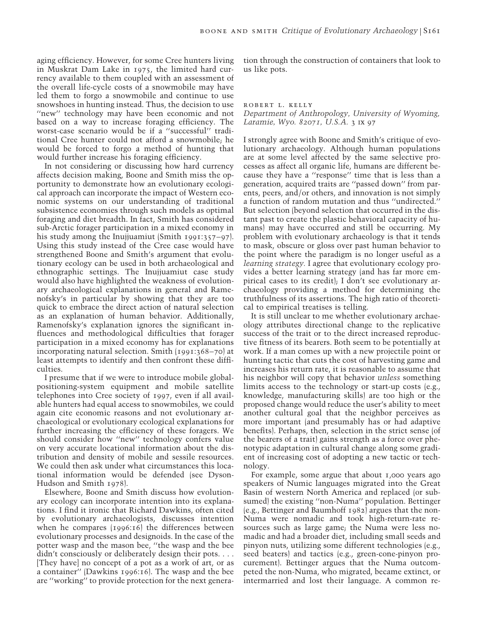aging efficiency. However, for some Cree hunters living tion through the construction of containers that look to in Muskrat Dam Lake in 1975, the limited hard cur- us like pots. rency available to them coupled with an assessment of the overall life-cycle costs of a snowmobile may have led them to forgo a snowmobile and continue to use snowshoes in hunting instead. Thus, the decision to use ROBERT L. KELLY ''new'' technology may have been economic and not *Department of Anthropology, University of Wyoming,* based on a way to increase foraging efficiency. The *Laramie, Wyo. 82071, U.S.A.* 3 ix 97 worst-case scenario would be if a ''successful'' traditional Cree hunter could not afford a snowmobile; he I strongly agree with Boone and Smith's critique of evowould be forced to forgo a method of hunting that lutionary archaeology. Although human populations would further increase his foraging efficiency. are at some level affected by the same selective pro-

affects decision making, Boone and Smith miss the op- cause they have a ''response'' time that is less than a portunity to demonstrate how an evolutionary ecologi- generation, acquired traits are ''passed down'' from parcal approach can incorporate the impact of Western eco- ents, peers, and/or others, and innovation is not simply nomic systems on our understanding of traditional a function of random mutation and thus ''undirected.'' subsistence economies through such models as optimal But selection (beyond selection that occurred in the disforaging and diet breadth. In fact, Smith has considered tant past to create the plastic behavioral capacity of husub-Arctic forager participation in a mixed economy in mans) may have occurred and still be occurring. My his study among the Inujjuamiut (Smith 1991:357–97). problem with evolutionary archaeology is that it tends Using this study instead of the Cree case would have to mask, obscure or gloss over past human behavior to strengthened Boone and Smith's argument that evolu- the point where the paradigm is no longer useful as a tionary ecology can be used in both archaeological and *learning strategy.* I agree that evolutionary ecology proethnographic settings. The Inujjuamiut case study vides a better learning strategy (and has far more emwould also have highlighted the weakness of evolution- pirical cases to its credit); I don't see evolutionary arary archaeological explanations in general and Rame- chaeology providing a method for determining the nofsky's in particular by showing that they are too truthfulness of its assertions. The high ratio of theoretiquick to embrace the direct action of natural selection cal to empirical treatises is telling. as an explanation of human behavior. Additionally, It is still unclear to me whether evolutionary archae-Ramenofsky's explanation ignores the significant in- ology attributes directional change to the replicative fluences and methodological difficulties that forager success of the trait or to the direct increased reproducparticipation in a mixed economy has for explanations tive fitness of its bearers. Both seem to be potentially at incorporating natural selection. Smith (1991:368–70) at work. If a man comes up with a new projectile point or least attempts to identify and then confront these diffi- hunting tactic that cuts the cost of harvesting game and culties. increases his return rate, it is reasonable to assume that

positioning-system equipment and mobile satellite limits access to the technology or start-up costs (e.g., telephones into Cree society of 1997, even if all avail- knowledge, manufacturing skills) are too high or the able hunters had equal access to snowmobiles, we could proposed change would reduce the user's ability to meet again cite economic reasons and not evolutionary ar- another cultural goal that the neighbor perceives as chaeological or evolutionary ecological explanations for more important (and presumably has or had adaptive further increasing the efficiency of these foragers. We benefits). Perhaps, then, selection in the strict sense (of should consider how ''new'' technology confers value the bearers of a trait) gains strength as a force over pheon very accurate locational information about the dis- notypic adaptation in cultural change along some graditribution and density of mobile and sessile resources. ent of increasing cost of adopting a new tactic or tech-We could then ask under what circumstances this loca- nology. tional information would be defended (see Dyson- For example, some argue that about 1,000 years ago Hudson and Smith 1978). speakers of Numic languages migrated into the Great

ary ecology can incorporate intention into its explana- sumed) the existing ''non-Numa'' population. Bettinger tions. I find it ironic that Richard Dawkins, often cited (e.g., Bettinger and Baumhoff 1982) argues that the nonby evolutionary archaeologists, discusses intention Numa were nomadic and took high-return-rate rewhen he compares (1996:16) the differences between sources such as large game; the Numa were less noevolutionary processes and designoids. In the case of the madic and had a broader diet, including small seeds and potter wasp and the mason bee, ''the wasp and the bee pinyon nuts, utilizing some different technologies (e.g., didn't consciously or deliberately design their pots.... seed beaters) and tactics (e.g., green-cone-pinyon pro-[They have] no concept of a pot as a work of art, or as curement). Bettinger argues that the Numa outcoma container'' (Dawkins 1996:16). The wasp and the bee peted the non-Numa, who migrated, became extinct, or are ''working'' to provide protection for the next genera- intermarried and lost their language. A common re-

In not considering or discussing how hard currency cesses as affect all organic life, humans are different be-

I presume that if we were to introduce mobile global- his neighbor will copy that behavior *unless* something

Elsewhere, Boone and Smith discuss how evolution- Basin of western North America and replaced (or sub-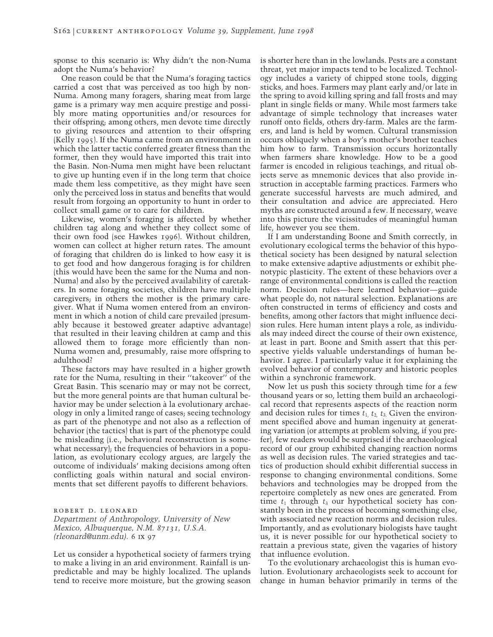sponse to this scenario is: Why didn't the non-Numa is shorter here than in the lowlands. Pests are a constant

the Basin. Non-Numa men might have been reluctant farmer is encoded in religious teachings, and ritual ob-

children tag along and whether they collect some of life, however you see them. their own food (see Hawkes 1996). Without children, If I am understanding Boone and Smith correctly, in women can collect at higher return rates. The amount evolutionary ecological terms the behavior of this hypoto get food and how dangerous foraging is for children to make extensive adaptive adjustments or exhibit phe ment in which a notion of child care prevailed (presum- benefits, among other factors that might influence deciably because it bestowed greater adaptive advantage) sion rules. Here human intent plays a role, as individuallowed them to forage more efficiently than non- at least in part. Boone and Smith assert that this per-Numa women and, presumably, raise more offspring to spective yields valuable understandings of human be-

rate for the Numa, resulting in their "takeover" of the within a synchronic framework. Great Basin. This scenario may or may not be correct, Now let us push this society through time for a few but the more general points are that human cultural be- thousand years or so, letting them build an archaeologiology in only a limited range of cases; seeing technology and decision rules for times  $t_1$ ,  $t_2$ ,  $t_3$ , Given the environas part of the phenotype and not also as a reflection of ment specified above and human ingenuity at generatbehavior (the tactics) that is part of the phenotype could ing variation (or attempts at problem solving, if you pre-

Let us consider a hypothetical society of farmers trying that influence evolution. to make a living in an arid environment. Rainfall is un-<br>To the evolutionary archaeologist this is human evo-

adopt the Numa's behavior? threat, yet major impacts tend to be localized. Technol-One reason could be that the Numa's foraging tactics ogy includes a variety of chipped stone tools, digging carried a cost that was perceived as too high by non- sticks, and hoes. Farmers may plant early and/or late in Numa. Among many foragers, sharing meat from large the spring to avoid killing spring and fall frosts and may game is a primary way men acquire prestige and possi- plant in single fields or many. While most farmers take bly more mating opportunities and/or resources for advantage of simple technology that increases water their offspring; among others, men devote time directly runoff onto fields, others dry-farm. Males are the farmto giving resources and attention to their offspring ers, and land is held by women. Cultural transmission (Kelly 1995). If the Numa came from an environment in occurs obliquely when a boy's mother's brother teaches which the latter tactic conferred greater fitness than the him how to farm. Transmission occurs horizontally former, then they would have imported this trait into when farmers share knowledge. How to be a good to give up hunting even if in the long term that choice jects serve as mnemonic devices that also provide inmade them less competitive, as they might have seen struction in acceptable farming practices. Farmers who only the perceived loss in status and benefits that would generate successful harvests are much admired, and result from forgoing an opportunity to hunt in order to their consultation and advice are appreciated. Hero collect small game or to care for children. myths are constructed around a few. If necessary, weave Likewise, women's foraging is affected by whether into this picture the vicissitudes of meaningful human

of foraging that children do is linked to how easy it is thetical society has been designed by natural selection (this would have been the same for the Numa and non- notypic plasticity. The extent of these behaviors over a Numa) and also by the perceived availability of caretak- range of environmental conditions is called the reaction ers. In some foraging societies, children have multiple norm. Decision rules—here learned behavior—guide caregivers; in others the mother is the primary care- what people do, not natural selection. Explanations are giver. What if Numa women entered from an environ- often constructed in terms of efficiency and costs and that resulted in their leaving children at camp and this als may indeed direct the course of their own existence, adulthood? havior. I agree. I particularly value it for explaining the These factors may have resulted in a higher growth evolved behavior of contemporary and historic peoples

havior may be under selection à la evolutionary archae- cal record that represents aspects of the reaction norm be misleading (i.e., behavioral reconstruction is some- fer), few readers would be surprised if the archaeological what necessary); the frequencies of behaviors in a popu- record of our group exhibited changing reaction norms lation, as evolutionary ecology argues, are largely the as well as decision rules. The varied strategies and tacoutcome of individuals' making decisions among often tics of production should exhibit differential success in conflicting goals within natural and social environ- response to changing environmental conditions. Some ments that set different payoffs to different behaviors. behaviors and technologies may be dropped from the repertoire completely as new ones are generated. From time  $t_1$  through  $t_3$  our hypothetical society has con-ROBERT D. LEONARD stantly been in the process of becoming something else, *Department of Anthropology, University of New* with associated new reaction norms and decision rules. *Mexico, Albuquerque, N.M. 87131, U.S.A.* Importantly, and as evolutionary biologists have taught *(rleonard@unm.edu).* 6 ix 97 us, it is never possible for our hypothetical society to reattain a previous state, given the vagaries of history

predictable and may be highly localized. The uplands lution. Evolutionary archaeologists seek to account for tend to receive more moisture, but the growing season change in human behavior primarily in terms of the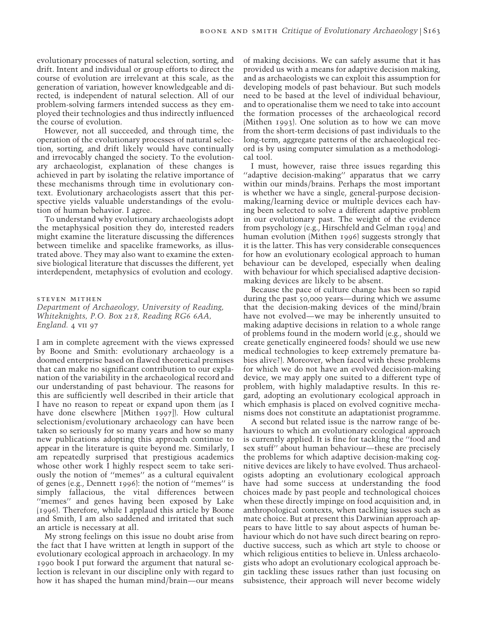drift. Intent and individual or group efforts to direct the provided us with a means for adaptive decision making, course of evolution are irrelevant at this scale, as the and as archaeologists we can exploit this assumption for generation of variation, however knowledgeable and di- developing models of past behaviour. But such models rected, is independent of natural selection. All of our need to be based at the level of individual behaviour, problem-solving farmers intended success as they em- and to operationalise them we need to take into account ployed their technologies and thus indirectly influenced the formation processes of the archaeological record the course of evolution. (Mithen 1993). One solution as to how we can move

operation of the evolutionary processes of natural selec- long-term, aggregate patterns of the archaeological rection, sorting, and drift likely would have continually ord is by using computer simulation as a methodologiand irrevocably changed the society. To the evolution- cal tool. ary archaeologist, explanation of these changes is I must, however, raise three issues regarding this achieved in part by isolating the relative importance of ''adaptive decision-making'' apparatus that we carry these mechanisms through time in evolutionary con- within our minds/brains. Perhaps the most important text. Evolutionary archaeologists assert that this per- is whether we have a single, general-purpose decisionspective yields valuable understandings of the evolu- making/learning device or multiple devices each havtion of human behavior. I agree. ing been selected to solve a different adaptive problem

the metaphysical position they do, interested readers from psychology (e.g., Hirschfeld and Gelman 1994) and might examine the literature discussing the differences human evolution (Mithen 1996) suggests strongly that between timelike and spacelike frameworks, as illus- it is the latter. This has very considerable consequences trated above. They may also want to examine the exten- for how an evolutionary ecological approach to human sive biological literature that discusses the different, yet behaviour can be developed, especially when dealing interdependent, metaphysics of evolution and ecology. with behaviour for which specialised adaptive decision-

by Boone and Smith: evolutionary archaeology is a medical technologies to keep extremely premature badoomed enterprise based on flawed theoretical premises bies alive?). Moreover, when faced with these problems that can make no significant contribution to our expla- for which we do not have an evolved decision-making nation of the variability in the archaeological record and device, we may apply one suited to a different type of our understanding of past behaviour. The reasons for problem, with highly maladaptive results. In this rethis are sufficiently well described in their article that gard, adopting an evolutionary ecological approach in I have no reason to repeat or expand upon them (as I which emphasis is placed on evolved cognitive mechahave done elsewhere [Mithen 1997]). How cultural nisms does not constitute an adaptationist programme. selectionism/evolutionary archaeology can have been A second but related issue is the narrow range of betaken so seriously for so many years and how so many haviours to which an evolutionary ecological approach new publications adopting this approach continue to is currently applied. It is fine for tackling the ''food and appear in the literature is quite beyond me. Similarly, I sex stuff'' about human behaviour—these are precisely am repeatedly surprised that prestigious academics the problems for which adaptive decision-making cogwhose other work I highly respect seem to take seri- nitive devices are likely to have evolved. Thus archaeolously the notion of "memes" as a cultural equivalent ogists adopting an evolutionary ecological approach of genes (e.g., Dennett 1996): the notion of ''memes'' is have had some success at understanding the food simply fallacious, the vital differences between choices made by past people and technological choices ''memes'' and genes having been exposed by Lake when these directly impinge on food acquisition and, in (1996). Therefore, while I applaud this article by Boone anthropological contexts, when tackling issues such as and Smith, I am also saddened and irritated that such mate choice. But at present this Darwinian approach apan article is necessary at all. pears to have little to say about aspects of human be-

the fact that I have written at length in support of the ductive success, such as which art style to choose or evolutionary ecological approach in archaeology. In my which religious entities to believe in. Unless archaeolo-1990 book I put forward the argument that natural se- gists who adopt an evolutionary ecological approach belection is relevant in our discipline only with regard to gin tackling these issues rather than just focusing on how it has shaped the human mind/brain—our means subsistence, their approach will never become widely

evolutionary processes of natural selection, sorting, and of making decisions. We can safely assume that it has However, not all succeeded, and through time, the from the short-term decisions of past individuals to the

To understand why evolutionary archaeologists adopt in our evolutionary past. The weight of the evidence making devices are likely to be absent.

Because the pace of culture change has been so rapid streven mithen during the past 50,000 years—during which we assume during which we assume *Department of Archaeology, University of Reading,* that the decision-making devices of the mind/brain *Whiteknights, P.O. Box 218, Reading RG6 6AA,* have not evolved—we may be inherently unsuited to *England.* 4 vii 97 making adaptive decisions in relation to a whole range of problems found in the modern world (e.g., should we I am in complete agreement with the views expressed create genetically engineered foods? should we use new

ogists adopting an evolutionary ecological approach My strong feelings on this issue no doubt arise from haviour which do not have such direct bearing on repro-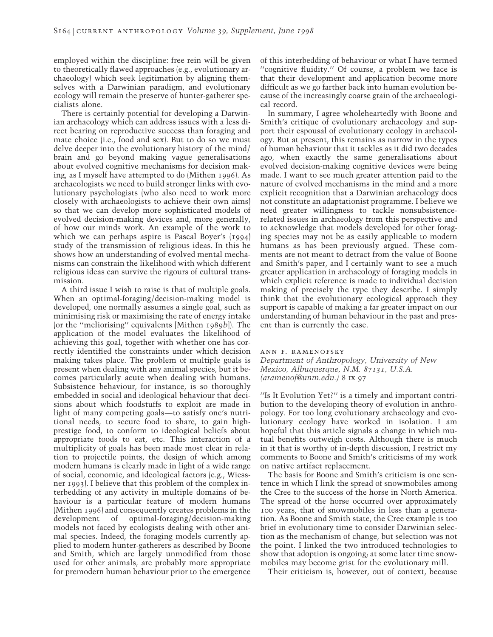employed within the discipline: free rein will be given of this interbedding of behaviour or what I have termed cialists alone. cal record.

ian archaeology which can address issues with a less di-<br>
Smith's critique of evolutionary archaeology and suprect bearing on reproductive success than foraging and port their espousal of evolutionary ecology in archaeolmate choice (i.e., food and sex). But to do so we must ogy. But at present, this remains as narrow in the types delve deeper into the evolutionary history of the mind/ of human behaviour that it tackles as it did two decades brain and go beyond making vague generalisations ago, when exactly the same generalisations about about evolved cognitive mechanisms for decision mak- evolved decision-making cognitive devices were being ing, as I myself have attempted to do (Mithen 1996). As made. I want to see much greater attention paid to the archaeologists we need to build stronger links with evo- nature of evolved mechanisms in the mind and a more lutionary psychologists (who also need to work more explicit recognition that a Darwinian archaeology does closely with archaeologists to achieve their own aims) not constitute an adaptationist programme. I believe we so that we can develop more sophisticated models of need greater willingness to tackle nonsubsistenceevolved decision-making devices and, more generally, related issues in archaeology from this perspective and of how our minds work. An example of the work to to acknowledge that models developed for other foragwhich we can perhaps aspire is Pascal Boyer's (1994) ing species may not be as easily applicable to modern study of the transmission of religious ideas. In this he humans as has been previously argued. These comshows how an understanding of evolved mental mecha- ments are not meant to detract from the value of Boone nisms can constrain the likelihood with which different and Smith's paper, and I certainly want to see a much religious ideas can survive the rigours of cultural trans- greater application in archaeology of foraging models in

When an optimal-foraging/decision-making model is think that the evolutionary ecological approach they developed, one normally assumes a single goal, such as support is capable of making a far greater impact on our minimising risk or maximising the rate of energy intake understanding of human behaviour in the past and pres- (or the ''meliorising'' equivalents [Mithen 1989*b*]). The ent than is currently the case. application of the model evaluates the likelihood of achieving this goal, together with whether one has correctly identified the constraints under which decision ANN F. RAMENOFSKY making takes place. The problem of multiple goals is *Department of Anthropology, University of New* present when dealing with any animal species, but it be- *Mexico, Albuquerque, N.M. 87131, U.S.A.* comes particularly acute when dealing with humans. *(aramenof@unm.edu.)* 8 ix 97 Subsistence behaviour, for instance, is so thoroughly embedded in social and ideological behaviour that deci- ''Is It Evolution Yet?'' is a timely and important contrisions about which foodstuffs to exploit are made in bution to the developing theory of evolution in anthrolight of many competing goals—to satisfy one's nutri- pology. For too long evolutionary archaeology and evotional needs, to secure food to share, to gain high- lutionary ecology have worked in isolation. I am prestige food, to conform to ideological beliefs about hopeful that this article signals a change in which muappropriate foods to eat, etc. This interaction of a tual benefits outweigh costs. Although there is much multiplicity of goals has been made most clear in rela- in it that is worthy of in-depth discussion, I restrict my tion to projectile points, the design of which among comments to Boone and Smith's criticisms of my work modern humans is clearly made in light of a wide range on native artifact replacement. of social, economic, and ideological factors (e.g., Wiess- The basis for Boone and Smith's criticism is one senner 1993). I believe that this problem of the complex in- tence in which I link the spread of snowmobiles among terbedding of any activity in multiple domains of be- the Cree to the success of the horse in North America. haviour is a particular feature of modern humans The spread of the horse occurred over approximately (Mithen 1996) and consequently creates problems in the 100 years, that of snowmobiles in less than a generadevelopment of optimal-foraging/decision-making tion. As Boone and Smith state, the Cree example is too models not faced by ecologists dealing with other ani- brief in evolutionary time to consider Darwinian selecmal species. Indeed, the foraging models currently ap- tion as the mechanism of change, but selection was not plied to modern hunter-gatherers as described by Boone the point. I linked the two introduced technologies to and Smith, which are largely unmodified from those show that adoption is ongoing; at some later time snowused for other animals, are probably more appropriate mobiles may become grist for the evolutionary mill.

to theoretically flawed approaches (e.g., evolutionary ar- ''cognitive fluidity.'' Of course, a problem we face is chaeology) which seek legitimation by aligning them- that their development and application become more selves with a Darwinian paradigm, and evolutionary difficult as we go farther back into human evolution beecology will remain the preserve of hunter-gatherer spe- cause of the increasingly coarse grain of the archaeologi-

There is certainly potential for developing a Darwin- In summary, I agree wholeheartedly with Boone and which explicit reference is made to individual decision A third issue I wish to raise is that of multiple goals. making of precisely the type they describe. I simply

for premodern human behaviour prior to the emergence Their criticism is, however, out of context, because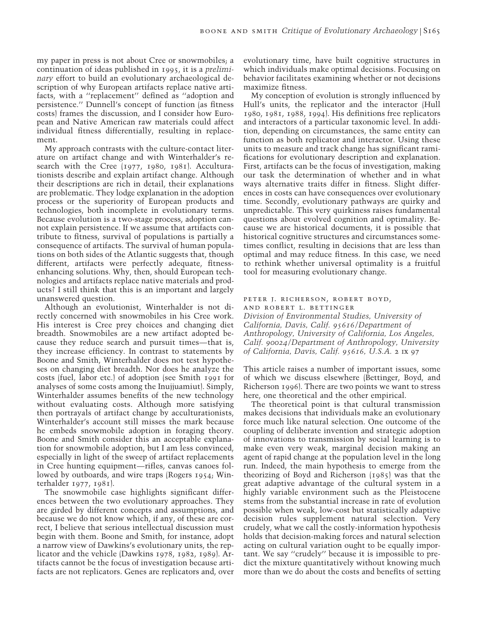continuation of ideas published in 1995, it is a *prelimi-* which individuals make optimal decisions. Focusing on *nary* effort to build an evolutionary archaeological de- behavior facilitates examining whether or not decisions scription of why European artifacts replace native arti- maximize fitness. facts, with a ''replacement'' defined as ''adoption and My conception of evolution is strongly influenced by

ature on artifact change and with Winterhalder's re- fications for evolutionary description and explanation. search with the Cree (1977, 1980, 1981). Accultura- First, artifacts can be the focus of investigation, making tionists describe and explain artifact change. Although our task the determination of whether and in what their descriptions are rich in detail, their explanations ways alternative traits differ in fitness. Slight differare problematic. They lodge explanation in the adoption ences in costs can have consequences over evolutionary process or the superiority of European products and time. Secondly, evolutionary pathways are quirky and technologies, both incomplete in evolutionary terms. unpredictable. This very quirkiness raises fundamental Because evolution is a two-stage process, adoption can- questions about evolved cognition and optimality. Benot explain persistence. If we assume that artifacts con- cause we are historical documents, it is possible that tribute to fitness, survival of populations is partially a historical cognitive structures and circumstances someconsequence of artifacts. The survival of human popula- times conflict, resulting in decisions that are less than tions on both sides of the Atlantic suggests that, though optimal and may reduce fitness. In this case, we need different, artifacts were perfectly adequate, fitness- to rethink whether universal optimality is a fruitful enhancing solutions. Why, then, should European tech- tool for measuring evolutionary change. nologies and artifacts replace native materials and products? I still think that this is an important and largely unanswered question. **peter in the set of the set of the set of the set of the set of the set of the set of the set of the set of the set of the set of the set of the set of the set of the set of the set of the set of the** 

Although an evolutionist, Winterhalder is not di- AND ROBERT L. BETTINGER rectly concerned with snowmobiles in his Cree work. *Division of Environmental Studies, University of* His interest is Cree prey choices and changing diet *California, Davis, Calif. 95616/Department of* breadth. Snowmobiles are a new artifact adopted be- *Anthropology, University of California, Los Angeles,* cause they reduce search and pursuit times—that is, *Calif. 90024/Department of Anthropology, University* they increase efficiency. In contrast to statements by *of California, Davis, Calif. 95616, U.S.A.* 2 ix 97 Boone and Smith, Winterhalder does not test hypotheses on changing diet breadth. Nor does he analyze the This article raises a number of important issues, some costs (fuel, labor etc.) of adoption (see Smith 1991 for of which we discuss elsewhere (Bettinger, Boyd, and analyses of some costs among the Inujjuamiut). Simply, Richerson 1996). There are two points we want to stress Winterhalder assumes benefits of the new technology here, one theoretical and the other empirical. without evaluating costs. Although more satisfying The theoretical point is that cultural transmission then portrayals of artifact change by acculturationists, makes decisions that individuals make an evolutionary Winterhalder's account still misses the mark because force much like natural selection. One outcome of the he embeds snowmobile adoption in foraging theory. coupling of deliberate invention and strategic adoption Boone and Smith consider this an acceptable explana- of innovations to transmission by social learning is to tion for snowmobile adoption, but I am less convinced, make even very weak, marginal decision making an especially in light of the sweep of artifact replacements agent of rapid change at the population level in the long in Cree hunting equipment—rifles, canvas canoes fol- run. Indeed, the main hypothesis to emerge from the lowed by outboards, and wire traps (Rogers 1954; Win- theorizing of Boyd and Richerson (1985) was that the terhalder 1977, 1981). great adaptive advantage of the cultural system in a

a narrow view of Dawkins's evolutionary units, the rep- acting on cultural variation ought to be equally imporlicator and the vehicle (Dawkins 1978, 1982, 1989). Ar- tant. We say ''crudely'' because it is impossible to pre-

my paper in press is not about Cree or snowmobiles; a evolutionary time, have built cognitive structures in

persistence.'' Dunnell's concept of function (as fitness Hull's units, the replicator and the interactor (Hull costs) frames the discussion, and I consider how Euro- 1980, 1981, 1988, 1994). His definitions free replicators pean and Native American raw materials could affect and interactors of a particular taxonomic level. In addiindividual fitness differentially, resulting in replace- tion, depending on circumstances, the same entity can ment. **function** as both replicator and interactor. Using these My approach contrasts with the culture-contact liter- units to measure and track change has significant rami-

The snowmobile case highlights significant differ- highly variable environment such as the Pleistocene ences between the two evolutionary approaches. They stems from the substantial increase in rate of evolution are girded by different concepts and assumptions, and possible when weak, low-cost but statistically adaptive because we do not know which, if any, of these are cor- decision rules supplement natural selection. Very rect, I believe that serious intellectual discussion must crudely, what we call the costly-information hypothesis begin with them. Boone and Smith, for instance, adopt holds that decision-making forces and natural selection tifacts cannot be the focus of investigation because arti- dict the mixture quantitatively without knowing much facts are not replicators. Genes are replicators and, over more than we do about the costs and benefits of setting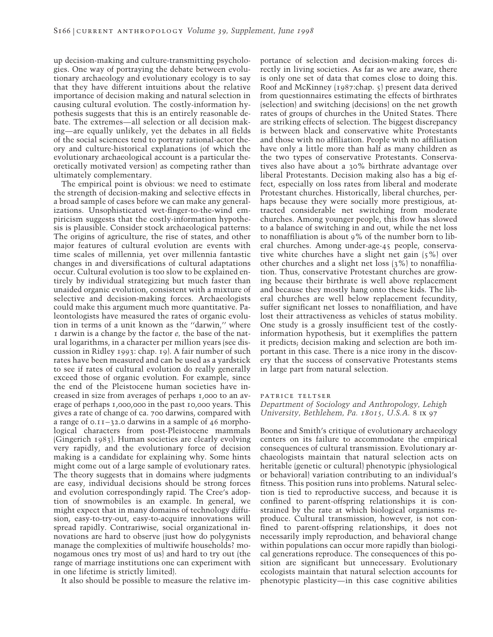up decision-making and culture-transmitting psycholo- portance of selection and decision-making forces di-

the strength of decision-making and selective effects in Protestant churches. Historically, liberal churches, pera broad sample of cases before we can make any general- haps because they were socially more prestigious, atizations. Unsophisticated wet-finger-to-the-wind em- tracted considerable net switching from moderate piricism suggests that the costly-information hypothe- churches. Among younger people, this flow has slowed sis is plausible. Consider stock archaeological patterns: to a balance of switching in and out, while the net loss The origins of agriculture, the rise of states, and other to nonaffiliation is about  $9\%$  of the number born to libmajor features of cultural evolution are events with eral churches. Among under-age-45 people, conservatime scales of millennia, yet over millennia fantastic tive white churches have a slight net gain (5%) over changes in and diversifications of cultural adaptations other churches and a slight net loss (3%) to nonaffiliaoccur. Cultural evolution is too slow to be explained en- tion. Thus, conservative Protestant churches are growtirely by individual strategizing but much faster than ing because their birthrate is well above replacement unaided organic evolution, consistent with a mixture of and because they mostly hang onto these kids. The libselective and decision-making forces. Archaeologists eral churches are well below replacement fecundity, could make this argument much more quantitative. Pa- suffer significant net losses to nonaffiliation, and have leontologists have measured the rates of organic evolu- lost their attractiveness as vehicles of status mobility. tion in terms of a unit known as the ''darwin,'' where One study is a grossly insufficient test of the costly-1 darwin is a change by the factor *e,* the base of the nat- information hypothesis, but it exemplifies the pattern ural logarithms, in a character per million years (see dis- it predicts; decision making and selection are both imcussion in Ridley 1993: chap. 19). A fair number of such portant in this case. There is a nice irony in the discovrates have been measured and can be used as a yardstick ery that the success of conservative Protestants stems to see if rates of cultural evolution do really generally in large part from natural selection. exceed those of organic evolution. For example, since the end of the Pleistocene human societies have increased in size from averages of perhaps 1,000 to an av- PATRICE TELTSER erage of perhaps 1,000,000 in the past 10,000 years. This *Department of Sociology and Anthropology, Lehigh* gives a rate of change of ca. 700 darwins, compared with *University, Bethlehem, Pa. 18015, U.S.A.* 8 ix 97 a range of  $0.11-32.0$  darwins in a sample of 46 morphological characters from post-Pleistocene mammals Boone and Smith's critique of evolutionary archaeology (Gingerich 1983). Human societies are clearly evolving centers on its failure to accommodate the empirical very rapidly, and the evolutionary force of decision consequences of cultural transmission. Evolutionary armaking is a candidate for explaining why. Some hints chaeologists maintain that natural selection acts on might come out of a large sample of evolutionary rates. heritable (genetic or cultural) phenotypic (physiological The theory suggests that in domains where judgments or behavioral) variation contributing to an individual's are easy, individual decisions should be strong forces fitness. This position runs into problems. Natural selecand evolution correspondingly rapid. The Cree's adop- tion is tied to reproductive success, and because it is tion of snowmobiles is an example. In general, we confined to parent-offspring relationships it is conmight expect that in many domains of technology diffu-<br>strained by the rate at which biological organisms resion, easy-to-try-out, easy-to-acquire innovations will produce. Cultural transmission, however, is not conspread rapidly. Contrariwise, social organizational in- fined to parent-offspring relationships, it does not novations are hard to observe (just how do polygynists necessarily imply reproduction, and behavioral change manage the complexities of multiwife households? mo- within populations can occur more rapidly than biologinogamous ones try most of us) and hard to try out (the cal generations reproduce. The consequences of this porange of marriage institutions one can experiment with sition are significant but unnecessary. Evolutionary in one lifetime is strictly limited). ecologists maintain that natural selection accounts for

gies. One way of portraying the debate between evolu- rectly in living societies. As far as we are aware, there tionary archaeology and evolutionary ecology is to say is only one set of data that comes close to doing this. that they have different intuitions about the relative Roof and McKinney (1987:chap. 5) present data derived importance of decision making and natural selection in from questionnaires estimating the effects of birthrates causing cultural evolution. The costly-information hy- (selection) and switching (decisions) on the net growth pothesis suggests that this is an entirely reasonable de- rates of groups of churches in the United States. There bate. The extremes—all selection or all decision mak- are striking effects of selection. The biggest discrepancy ing—are equally unlikely, yet the debates in all fields is between black and conservative white Protestants of the social sciences tend to portray rational-actor the- and those with no affiliation. People with no affiliation ory and culture-historical explanations (of which the have only a little more than half as many children as evolutionary archaeological account is a particular the- the two types of conservative Protestants. Conservaoretically motivated version) as competing rather than tives also have about a 30% birthrate advantage over ultimately complementary.  $\qquad \qquad$  liberal Protestants. Decision making also has a big ef-The empirical point is obvious: we need to estimate fect, especially on loss rates from liberal and moderate

It also should be possible to measure the relative im- phenotypic plasticity—in this case cognitive abilities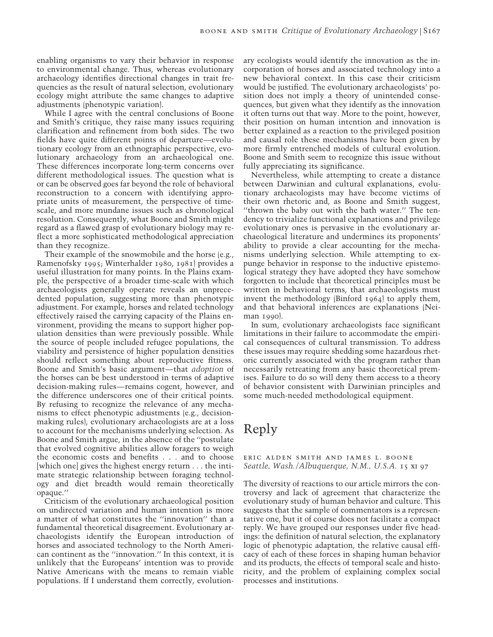enabling organisms to vary their behavior in response ary ecologists would identify the innovation as the into environmental change. Thus, whereas evolutionary corporation of horses and associated technology into a archaeology identifies directional changes in trait fre- new behavioral context. In this case their criticism quencies as the result of natural selection, evolutionary would be justified. The evolutionary archaeologists' poecology might attribute the same changes to adaptive sition does not imply a theory of unintended conseadjustments (phenotypic variation). quences, but given what they identify as the innovation

and Smith's critique, they raise many issues requiring their position on human intention and innovation is clarification and refinement from both sides. The two better explained as a reaction to the privileged position fields have quite different points of departure—evolu- and causal role these mechanisms have been given by tionary ecology from an ethnographic perspective, evolutionary archaeology from an archaeological one. Boone and Smith seem to recognize this issue without These differences incorporate long-term concerns over fully appreciating its significance. different methodological issues. The question what is Nevertheless, while attempting to create a distance or can be observed goes far beyond the role of behavioral between Darwinian and cultural explanations, evolureconstruction to a concern with identifying appro- tionary archaeologists may have become victims of priate units of measurement, the perspective of time- their own rhetoric and, as Boone and Smith suggest, scale, and more mundane issues such as chronological ''thrown the baby out with the bath water.'' The tenresolution. Consequently, what Boone and Smith might dency to trivialize functional explanations and privilege regard as a flawed grasp of evolutionary biology may re- evolutionary ones is pervasive in the evolutionary arflect a more sophisticated methodological appreciation chaeological literature and undermines its proponents' than they recognize. ability to provide a clear accounting for the mecha-

Ramenofsky 1995; Winterhalder 1980, 1981) provides a punge behavior in response to the inductive epistemouseful illustration for many points. In the Plains exam- logical strategy they have adopted they have somehow ple, the perspective of a broader time-scale with which forgotten to include that theoretical principles must be archaeologists generally operate reveals an unprece- written in behavioral terms, that archaeologists must dented population, suggesting more than phenotypic invent the methodology (Binford 1964) to apply them, adjustment. For example, horses and related technology and that behavioral inferences are explanations (Neieffectively raised the carrying capacity of the Plains en- man 1990). vironment, providing the means to support higher pop- In sum, evolutionary archaeologists face significant ulation densities than were previously possible. While limitations in their failure to accommodate the empirithe source of people included refugee populations, the cal consequences of cultural transmission. To address viability and persistence of higher population densities these issues may require shedding some hazardous rhetshould reflect something about reproductive fitness. oric currently associated with the program rather than Boone and Smith's basic argument—that *adoption* of necessarily retreating from any basic theoretical premthe horses can be best understood in terms of adaptive ises. Failure to do so will deny them access to a theory decision-making rules—remains cogent, however, and of behavior consistent with Darwinian principles and the difference underscores one of their critical points. some much-needed methodological equipment. By refusing to recognize the relevance of any mechanisms to effect phenotypic adjustments (e.g., decisionmaking rules), evolutionary archaeologists are at a loss to account for the mechanisms underlying selection. As Reply Boone and Smith argue, in the absence of the ''postulate that evolved cognitive abilities allow foragers to weigh the economic costs and benefits . . . and to choose ERIC ALDEN SMITH AND JAMES L. BOONE [which one] gives the highest energy return . . . the inti- *Seattle, Wash./Albuquerque, N.M., U.S.A.* 15 xi 97 mate strategic relationship between foraging technology and diet breadth would remain theoretically The diversity of reactions to our article mirrors the conopaque.'' troversy and lack of agreement that characterize the

on undirected variation and human intention is more suggests that the sample of commentators is a represenfundamental theoretical disagreement. Evolutionary ar- reply. We have grouped our responses under five headhorses and associated technology to the North Ameri- logic of phenotypic adaptation, the relative causal effiunlikely that the Europeans' intention was to provide and its products, the effects of temporal scale and histopopulations. If I understand them correctly, evolution- processes and institutions.

While I agree with the central conclusions of Boone it often turns out that way. More to the point, however,

Their example of the snowmobile and the horse (e.g., nisms underlying selection. While attempting to ex-

Criticism of the evolutionary archaeological position evolutionary study of human behavior and culture. This a matter of what constitutes the ''innovation'' than a tative one, but it of course does not facilitate a compact chaeologists identify the European introduction of ings: the definition of natural selection, the explanatory can continent as the ''innovation.'' In this context, it is cacy of each of these forces in shaping human behavior Native Americans with the means to remain viable ricity, and the problem of explaining complex social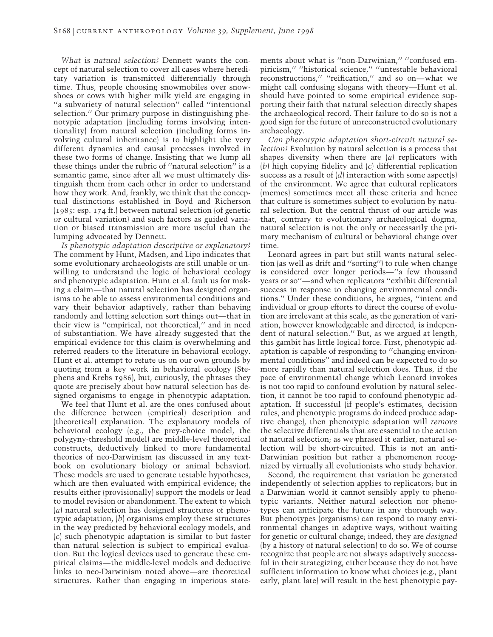tionality) from natural selection (including forms in- archaeology. volving cultural inheritance) is to highlight the very *Can phenotypic adaptation short-circuit natural se*tual distinctions established in Boyd and Richerson that culture is sometimes subject to evolution by natu-

*Is phenotypic adaptation descriptive or explanatory?* time. The comment by Hunt, Madsen, and Lipo indicates that Leonard agrees in part but still wants natural selecsome evolutionary archaeologists are still unable or un- tion (as well as drift and ''sorting'') to rule when change vary their behavior adaptively, rather than behaving individual or group efforts to direct the course of evolurandomly and letting selection sort things out—that in tion are irrelevant at this scale, as the generation of varitheir view is ''empirical, not theoretical,'' and in need ation, however knowledgeable and directed, is indepenof substantiation. We have already suggested that the dent of natural selection.'' But, as we argued at length, referred readers to the literature in behavioral ecology.

We feel that Hunt et al. are the ones confused about aptation. If successful (if people's estimates, decision the difference between (empirical) description and rules, and phenotypic programs do indeed produce adap-(theoretical) explanation. The explanatory models of tive change), then phenotypic adaptation will *remove* behavioral ecology (e.g., the prey-choice model, the the selective differentials that are essential to the action polygyny-threshold model) are middle-level theoretical of natural selection; as we phrased it earlier, natural seconstructs, deductively linked to more fundamental lection will be short-circuited. This is not an antitheories of neo-Darwinism (as discussed in any text- Darwinian position but rather a phenomenon recogbook on evolutionary biology or animal behavior). nized by virtually all evolutionists who study behavior. These models are used to generate testable hypotheses, Second, the requirement that variation be generated which are then evaluated with empirical evidence; the independently of selection applies to replicators; but in results either (provisionally) support the models or lead a Darwinian world it cannot sensibly apply to phenoto model revision or abandonment. The extent to which typic variants. Neither natural selection nor pheno- (*a*) natural selection has designed structures of pheno- types can anticipate the future in any thorough way. typic adaptation, (*b*) organisms employ these structures But phenotypes (organisms) can respond to many enviin the way predicted by behavioral ecology models, and ronmental changes in adaptive ways, without waiting (*c*) such phenotypic adaptation is similar to but faster for genetic or cultural change; indeed, they are *designed* than natural selection is subject to empirical evalua- (by a history of natural selection) to do so. We of course tion. But the logical devices used to generate these em- recognize that people are not always adaptively successpirical claims—the middle-level models and deductive ful in their strategizing, either because they do not have links to neo-Darwinism noted above—are theoretical sufficient information to know what choices (e.g., plant structures. Rather than engaging in imperious state- early, plant late) will result in the best phenotypic pay-

*What* is *natural selection*? Dennett wants the con- ments about what is "non-Darwinian," "confused emcept of natural selection to cover all cases where heredi- piricism,'' ''historical science,'' ''untestable behavioral tary variation is transmitted differentially through reconstructions,'' ''reification,'' and so on—what we time. Thus, people choosing snowmobiles over snow- might call confusing slogans with theory—Hunt et al. shoes or cows with higher milk yield are engaging in should have pointed to some empirical evidence sup-<br>"a subvariety of natural selection" called "intentional porting their faith that natural selection directly shapes porting their faith that natural selection directly shapes selection." Our primary purpose in distinguishing phe- the archaeological record. Their failure to do so is not a notypic adaptation (including forms involving inten- good sign for the future of unreconstructed evolutionary

different dynamics and causal processes involved in *lection?* Evolution by natural selection is a process that these two forms of change. Insisting that we lump all shapes diversity when there are (*a*) replicators with these things under the rubric of ''natural selection'' is a (*b*) high copying fidelity and (*c*) differential replication semantic game, since after all we must ultimately dis- success as a result of (*d*) interaction with some aspect(s) tinguish them from each other in order to understand of the environment. We agree that cultural replicators how they work. And, frankly, we think that the concep- (memes) sometimes meet all these criteria and hence (1985: esp. 174 ff.) between natural selection (of genetic ral selection. But the central thrust of our article was *or* cultural variation) and such factors as guided varia- that, contrary to evolutionary archaeological dogma, tion or biased transmission are more useful than the natural selection is not the only or necessarily the prilumping advocated by Dennett. mary mechanism of cultural or behavioral change over

willing to understand the logic of behavioral ecology is considered over longer periods—"a few thousand and phenotypic adaptation. Hunt et al. fault us for mak- years or so''—and when replicators ''exhibit differential ing a claim—that natural selection has designed organ- success in response to changing environmental condiisms to be able to assess environmental conditions and tions.'' Under these conditions, he argues, ''intent and empirical evidence for this claim is overwhelming and this gambit has little logical force. First, phenotypic ad-<br>referred readers to the literature in behavioral ecology. aptation is capable of responding to "changing env Hunt et al. attempt to refute us on our own grounds by mental conditions'' and indeed can be expected to do so quoting from a key work in behavioral ecology (Ste- more rapidly than natural selection does. Thus, if the phens and Krebs 1986), but, curiously, the phrases they pace of environmental change which Leonard invokes quote are precisely about how natural selection has de- is not too rapid to confound evolution by natural selecsigned organisms to engage in phenotypic adaptation. tion, it cannot be too rapid to confound phenotypic adrules, and phenotypic programs do indeed produce adap-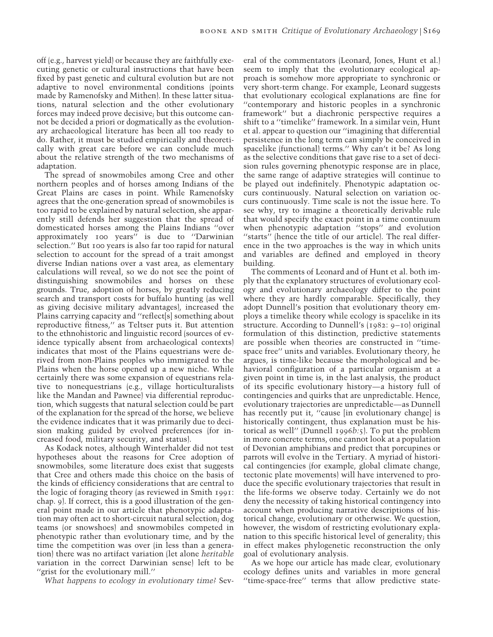off (e.g., harvest yield) or because they are faithfully exe- eral of the commentators (Leonard, Jones, Hunt et al.) cuting genetic or cultural instructions that have been seem to imply that the evolutionary ecological apfixed by past genetic and cultural evolution but are not proach is somehow more appropriate to synchronic or adaptive to novel environmental conditions (points very short-term change. For example, Leonard suggests made by Ramenofsky and Mithen). In these latter situa- that evolutionary ecological explanations are fine for tions, natural selection and the other evolutionary ''contemporary and historic peoples in a synchronic forces may indeed prove decisive; but this outcome can- framework'' but a diachronic perspective requires a not be decided a priori or dogmatically as the evolutionary archaeological literature has been all too ready to et al. appear to question our ''imagining that differential do. Rather, it must be studied empirically and theoreti- persistence in the long term can simply be conceived in cally with great care before we can conclude much spacelike (functional) terms.'' Why can't it be? As long about the relative strength of the two mechanisms of as the selective conditions that gave rise to a set of deciadaptation. sion rules governing phenotypic response are in place,

northern peoples and of horses among Indians of the be played out indefinitely. Phenotypic adaptation oc-Great Plains are cases in point. While Ramenofsky curs continuously. Natural selection on variation ocagrees that the one-generation spread of snowmobiles is curs continuously. Time scale is not the issue here. To too rapid to be explained by natural selection, she appar- see why, try to imagine a theoretically derivable rule ently still defends her suggestion that the spread of that would specify the exact point in a time continuum domesticated horses among the Plains Indians "over when phenotypic adaptation "stops" and evolution approximately 100 years" is due to "Darwinian "starts" (hence the title of our article). The real differapproximately 100 years" is due to "Darwinian selection.'' But 100 years is also far too rapid for natural ence in the two approaches is the way in which units selection to account for the spread of a trait amongst and variables are defined and employed in theory diverse Indian nations over a vast area, as elementary building. calculations will reveal, so we do not see the point of The comments of Leonard and of Hunt et al. both imdistinguishing snowmobiles and horses on these ply that the explanatory structures of evolutionary ecolgrounds. True, adoption of horses, by greatly reducing ogy and evolutionary archaeology differ to the point search and transport costs for buffalo hunting (as well where they are hardly comparable. Specifically, they as giving decisive military advantages), increased the adopt Dunnell's position that evolutionary theory em-Plains carrying capacity and ''reflect[s] something about ploys a timelike theory while ecology is spacelike in its reproductive fitness,'' as Teltser puts it. But attention structure. According to Dunnell's (1982: 9–10) original to the ethnohistoric and linguistic record (sources of ev- formulation of this distinction, predictive statements idence typically absent from archaeological contexts) are possible when theories are constructed in ''timeindicates that most of the Plains equestrians were de- space free'' units and variables. Evolutionary theory, he rived from non-Plains peoples who immigrated to the argues, is time-like because the morphological and be-Plains when the horse opened up a new niche. While havioral configuration of a particular organism at a certainly there was some expansion of equestrians rela- given point in time is, in the last analysis, the product tive to nonequestrians (e.g., village horticulturalists of its specific evolutionary history—a history full of like the Mandan and Pawnee) via differential reproduc- contingencies and quirks that are unpredictable. Hence, tion, which suggests that natural selection could be part evolutionary trajectories are unpredictable—as Dunnell of the explanation for the spread of the horse, we believe has recently put it, ''cause [in evolutionary change] is the evidence indicates that it was primarily due to deci- historically contingent, thus explanation must be hission making guided by evolved preferences (for in- torical as well'' (Dunnell 1996*b:*5). To put the problem creased food, military security, and status). in more concrete terms, one cannot look at a population

hypotheses about the reasons for Cree adoption of parrots will evolve in the Tertiary. A myriad of historisnowmobiles, some literature does exist that suggests cal contingencies (for example, global climate change, that Cree and others made this choice on the basis of tectonic plate movements) will have intervened to prothe kinds of efficiency considerations that are central to duce the specific evolutionary trajectories that result in the logic of foraging theory (as reviewed in Smith 1991: the life-forms we observe today. Certainly we do not chap. 9). If correct, this is a good illustration of the gen- deny the necessity of taking historical contingency into eral point made in our article that phenotypic adapta- account when producing narrative descriptions of histion may often act to short-circuit natural selection; dog torical change, evolutionary or otherwise. We question, teams (or snowshoes) and snowmobiles competed in however, the wisdom of restricting evolutionary explaphenotypic rather than evolutionary time, and by the nation to this specific historical level of generality; this time the competition was over (in less than a genera- in effect makes phylogenetic reconstruction the only tion) there was no artifact variation (let alone *heritable* goal of evolutionary analysis. variation in the correct Darwinian sense) left to be As we hope our article has made clear, evolutionary

The spread of snowmobiles among Cree and other the same range of adaptive strategies will continue to

As Kodack notes, although Winterhalder did not test of Devonian amphibians and predict that porcupines or

''grist for the evolutionary mill.'' ecology defines units and variables in more general *What happens to ecology in evolutionary time?* Sev- "time-space-free" terms that allow predictive state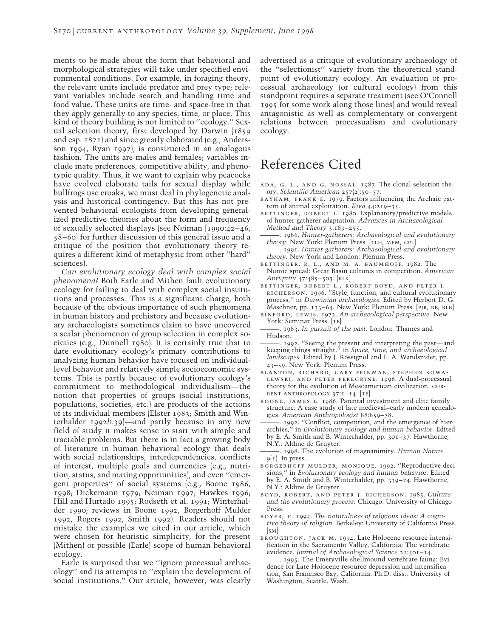ual selection theory, first developed by Darwin (1859 ecology. and esp. 1871) and since greatly elaborated (e.g., Andersson 1994, Ryan 1997), is constructed in an analogous fashion. The units are males and females; variables include mate preferences, competitive ability, and pheno- References Cited typic quality. Thus, if we want to explain why peacocks have evolved elaborate tails for sexual display while  $\Delta DA$ , g. L.,  $\Delta ND$  g. noss $\Delta L$  1987. The clonal-selection the-<br>hullfrogs use croaks we must deal in phylogenetic anal- ory. Scientific American 257(2):50–57. bullfrogs use croaks, we must deal in phylogenetic anal- ory. *Scientific American* 257(2):50–57. ysis and historical contingency. But this has not pre-<br>vented behavioral ecologists from developing general-<br>ized predictive theories about the form and frequency<br>differency of hunter-gatherer adaptation. *Advances* in *Ar* ized predictive theories about the form and frequency of hunter-gatherer adaptation. *A* of sexually selected displays (see Neiman [1990:42–46, *Method and Theory* 3:189–255. of sexually selected displays (see Neiman [1990:42–46, *Method and Theory* 3:189–255. 58–60] for further discussion of this general issue and a<br>critique of the position that evolutionary theory re-<br>quires a different kind of metaphysic from other "hard"  $\frac{theory. New York: Plenum Press. [TH, MEM, CPL] }{theory. New York: Plenum Press. [TH, MEM, CPL] }$ <br>sciences

phenomena? Both Earle and Mithen fault evolutionary<br>ecology for failing to deal with complex social institu-<br>tions and processes. This is a significant charge, both<br>process," in Darwinian archaeologies. Edited by Herbert D because of the obvious importance of such phenomena Maschner, pp. 133–64. New York: Plenum Press. [PJR, RB, RLB]<br>in human history and prehistory and because evolution. BINFORD, LEWIS. 1972. An archaeological perspective. N in human history and prehistory and because evolution-<br>perspective and perspective conditions of the perspective. The perspective of the perspective of the perspective of the perspective. An archaeological perspective. See ary archaeologists sometimes claim to have uncovered<br>
a scalar phenomenon of group selection in complex so-<br>
——. 1983. *In pursuit of the past*. London: Thames and<br>
cieties (e.g., Dunnell 1980). It is certainly true that t cieties (e.g., Dunnell 1980). It is certainly true that to ———. 1992. "Seeing the present and interpreting the past—and date evolutionary ecology's primary contributions to keeping things straight," in *Space, time, and ar* date evolutionary ecology's primary contributions to keeping things straight," in *Space, time, and archaeological*<br>analyzing human behavior have focused on individual *landscapes*. Edited by J. Rossignol and L. A. Wandsni analyzing human behavior have focused on individual-<br>level behavior and relatively simple socioeconomic sys-<br>tems. This is partly because of evolutionary ecology's<br>commitment to methodological individualism—the<br>theory for commitment to methodological individualism—the theory for the evolution of Mesoam<br>notion that properties of groups (social institutions. RENT ANTHROPOLOGY 37:1-14. [TE] notion that properties of groups (social institutions,<br>populations, societies, etc.) are products of the actions<br>of its individual members (Elster 1983; Smith and Win-<br>terhalder 1992b:39)—and partly because in any new ter terhalder 1992*b*:39)—and partly because in any new ———. 1992. "Conflict, competition, and the emergence of hier-<br>field of study it makes sense to start with simple and archies," in Evolutionary ecology and human behavior. field of study it makes sense to start with simple and archies," in *Evolutionary ecology and human behavior*. Edite<br>tractable problems. But there is in fact a growing body by E. A. Smith and B. Winterhalder, pp. 301–37. H tractable problems. But there is in fact a growing body<br>of literature in human behavioral ecology that deals<br>with social relationships, interdependencies, conflicts<br> $\frac{b_0 k}{s}$ . In press. with social relationships, interdependencies, conflicts of interest, multiple goals and currencies (e.g., nutri-<br>tion status and mating opportunities) and even "emer-sions," in Evolutionary ecology and human behavior. Edited tion, status, and mating opportunities), and even "emer-<br>gent properties" of social systems (e.g., Boone 1986,<br>1998; Dickemann 1979; Neiman 1997; Hawkes 1996;<br>Hill and Hurtado 1995; Rodseth et al. 1991; Winterhal-<br>and the Hill and Hurtado 1995; Rodseth et al. 1991; Winterhal- *and the evolutionary process.* Chicago: University of Chicago: University of Chicago: University of Chicago: University of Chicago: University of Chicago: University der 1990; reviews in Boone 1992, Borgerhoff Mulder Press.<br>1994. Regens 1998, Smith 1992, Boadare should not BOYER, P. 1994. The naturalness of religious ideas: A cogni-1992, Rogers 1992, Smith 1992). Readers should not <sup>BOYER, P.</sup> 1994. The naturalness of religious ideas: A cognimistake the examples we cited in our article, which were chosen for heuristic simplicity, for the present BROU (Mithen) or possible (Earle) scope of human behavioral fication in the Sacramento Valley, California: The vertebrate<br>evidence. Journal of Archaeological Science 21:501-14.

social institutions." Our article, however, was clearly Washington, Seattle, Wash.

ments to be made about the form that behavioral and advertised as a critique of evolutionary archaeology of morphological strategies will take under specified envi- the ''selectionist'' variety from the theoretical standronmental conditions. For example, in foraging theory, point of evolutionary ecology. An evaluation of prothe relevant units include predator and prey type; rele- cessual archaeology (or cultural ecology) from this vant variables include search and handling time and standpoint requires a separate treatment (see O'Connell food value. These units are time- and space-free in that 1995 for some work along those lines) and would reveal they apply generally to any species, time, or place. This antagonistic as well as complementary or convergent kind of theory building is not limited to ''ecology.'' Sex- relations between processualism and evolutionary

- 
- 
- 
- 
- 
- BETTINGER, R. L., AND M. A. BAUMHOFF. 1982. The *Can evolutionary ecology deal with complex social* Numic spread: Great Basin cultures in competition. *American*<br>*Antiquity 47:485-503.* [RLK]
	- process," in *Darwinian archaeologies*. Edited by Herbert D. G.
	-
	-
	-
	-
	-
	-
	-
	-
	-
	-
	-
- evidence. Journal of Archaeological Science 21:501-14.<br>Earle is surprised that we "ignore processual archae-<br>ology" and its attempts to "explain the development of the New State Holocene resource depression and intensifica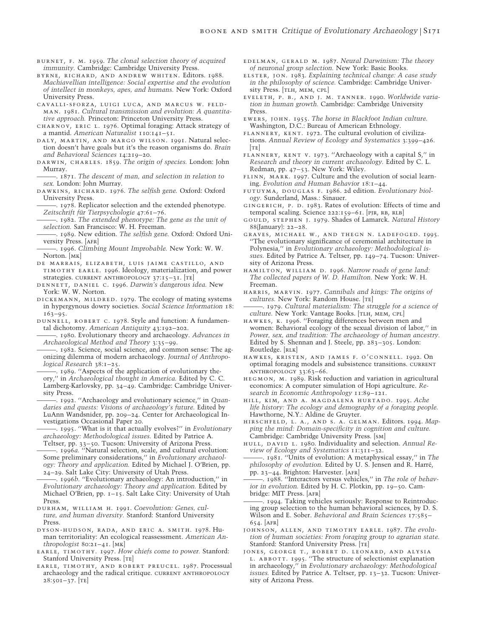- *immunity.* Cambridge: Cambridge University Press. *of neuronal group selection.* New York: Basic Books.
- byrne, richard, and andrew whiten. Editors. 1988. elster, jon. 1983. *Explaining technical change: A case study of intellect in monkeys, apes, and humans.* New York: Oxford sity Press. [TLH, MEM, CPL]
- cavalli-sforza, Luigi Luca, and Marcus W. FELDman. 1981. *Cultural transmission and evolution: A quantita-* Press.
- charnov, eric l. 1976. Optimal foraging: Attack strategy of Washington, D.C.: Bureau of American Ethnology.
- tion doesn't have goals but it's the reason organisms do. *Brain* [TE]<br>*and Behavioral Sciences* 14:219–20. FLAN
- DARWIN, CHARLES. 1859. *The origin of species*. London: John Murray.<br>Alternative manner and selection in relation to the FLINN, MARK. 1997. Culture and the events of man, and selection in relation to FLINN, MARK. 1997. Culture and the events.
- *sex.* London: John Murray. ing. *Evolution and Human Behavior* 18:1–44.
- University Press. *ogy.* Sunderland, Mass.: Sinauer.
- 
- 
- *selection.* San Francisco: W. H. Freeman. 88(January): 22–28.
- ——. 1996. *Climbing Mount Improbable*. New York: W. W. Norton. [MK]
- DE MARRAIS, ELIZABETH, LUIS JAIME CASTILLO, AND sity of Arizona Press.<br>TIMOTHY EARLE. 1996. Ideology, materialization, and power HAMILTON, WILLIAM D. 1996. Narrow roads of gene land timothy earle. 1996. Ideology, materialization, and power hamilton, william d. 1996. *Narrow roads of gene land:*
- dennett, daniel c. 1996. *Darwin's dangerous idea.* New Freeman.
- DICKEMANN, MILDRED. 1979. The ecology of mating systems *cultures.* New York: Random House. [TE]<br>in hypergynous dowry societies. Social Science Information 18: ———. 1979. Cultural materialism: The struggle for a science of in hypergynous dowry societies. *Social Science Information* 18:
- DUNNELL, ROBERT C. 1978. Style and function: A fundamen-
- 
- ——. 1982. Science, social science, and common sense: The ag-<br>
onizing dilemma of modern archaeology. Journal of Anthropo- HAWKES, KRISTE
- ———. 1989. ''Aspects of the application of evolutionary the- anthropology 33:63–66. ory," in *Archaeological thought in America*. Edited by C. C. HEGMON, M. 1989. Risk reduction and variation in agricultural Lamberg-Karlovsky, pp. 34–49. Cambridge: Cambridge Univer- economics: A computer simulation of Hopi agriculture. *Re-*
- LuAnn Wandsnider, pp. 209–24. Center for Archaeological In- Hawthorne, N.Y.: Aldine de Gruyter.
- *archaeology: Methodological issues.* Edited by Patrice A. Cambridge: Cambridge University Press. [sm]
- ———. 1996*a.* ''Natural selection, scale, and cultural evolution: *view of Ecology and Systematics* 11:311–32. Some preliminary considerations," in *Evolutionary archaeol*-<br>ogy: Theory and application. Edited by Michael J. O'Brien, pp. philosophy of evolution. Edited by U. S. Jensen and R. Harré, *ogy: Theory and application.* Edited by Michael J. O'Brien, pp. 24–29. Salt Lake City: University of Utah Press. pp.  $23-44$ . Brighton: Harvester. [AFR]<br>  $\rightarrow$  1996b. "Evolutionary archaeology: An introduction," in  $\rightarrow$  1988. "Interactors versus vehicles," in The role of behav-
- ——. 1996*b.* "Evolutionary archaeology: An introduction," in *Evolutionary archaeology: Theory and application*. Edited by Michael O'Brien, pp. 1-15. Salt Lake City: University of Utah bridge: MIT Press. [AFR]
- Press.  $654.$  [AFR]
- *thropologist* 80:21–41. [mk] Stanford: Stanford University Press. [te]
- earle, timothy. 1997. *How chiefs come to power.* Stanford: jones, george t., robert d. leonard, and alysia
- 28:501–37. [TE] sity of Arizona Press.

burnet, f. m. 1959. *The clonal selection theory of acquired* edelman, gerald m. 1987. *Neural Darwinism: The theory*

- *Machiavellian intelligence: Social expertise and the evolution in the philosophy of science.* Cambridge: Cambridge Univer-
- University Press. even by the settle TH, P. B., AND J. M. TANNER. 1990. *Worldwide varia*-<br>AVALLI-SFORZA, LUIGI LUCA, AND MARCUS W. FELD- *tion in human growth*. Cambridge: Cambridge University
	- *tive approach.* Princeton: Princeton University Press. ewers, john. 1955. *The horse in Blackfoot Indian culture.*
- a mantid. *American Naturalist* 110:141-51.<br>  $PALY$ , MARTIN, AND MARGO WILSON. 1991. Natural selections. *Annual Review of Ecology and Systematics* 3:399-4. tions. Annual Review of Ecology and Systematics 3:399-426.
	- FLANNERY, KENT V. 1973. "Archaeology with a capital S," in *Research and theory in current archaeology*. Edited by C. L.
	- FLINN, MARK. 1997. Culture and the evolution of social learn-
	- $FUTUYMA, DOUGLAS F. I986. 2d edition. *Evolutionary biol-*$
	- ——. 1978. Replicator selection and the extended phenotype. GINGERICH, P. D. 1983. Rates of evolution: Effects of time and Zeitschrift für Tierpsychologie 47:61–76. (2011) [198] Science 222:159–61. [198, RB, RLB] *zemporal scaling. Science 222:159-61.* [PJR, RB, RLB]
		- ———. 1982. *The extended phenotype: The gene as the unit of* gould, stephen j. 1979. Shades of Lamarck. *Natural History*
	- GRAVES, MICHAEL W., AND THEGN N. LADEFOGED. 1995. versity Press. [AFR]<br>
	ighther evolutionary significance of ceremonial architecture in  $^{\prime\prime}$  The evolutionary significance of ceremonial architecture in  $^{\prime\prime}$ .<br>
	Evolutionary archaeology: Methodological issues. Edited by Patrice A. Teltser, pp. 149-74. Tucson: Univer-
	- strategies. CURRENT ANTHROPOLOGY 37:15–31. [TE] *The collected papers of W. D. Hamilton.* New York: W. H.
		- HARRIS, MARVIN. 1977. *Cannibals and kings: The origins of*
	- 163–95.<br>
	culture. New York: Vantage Books. [TLH, MEM, CPL]<br>
	UNNELL, ROBERT C. 1978. Style and function: A fundamen- HAWKES, K. 1996. "Foraging differences between men and
	- tal dichotomy. *American Antiquity* 43:192–202. women: Behavioral ecology of the sexual division of labor,'' in ———. 1980. Evolutionary theory and archaeology. *Advances in Power, sex, and tradition: The archaeology of human ancestry.* Edited by S. Shennan and J. Steele, pp. 283–305. London:
	- onizing dilemma of modern archaeology. *Journal of Anthropo-* hawkes, kristen, and james f. o'connell. 1992. On *logical Research* 38:1–25. **optimal for a set of the set of the set of the set of the set of the set of the set of the set of the set of the set of the set of the set of the set of the set of the set of the set of the set** 
		- search in Economic Anthropology 11:89–121.
	- ———. 1992. ''Archaeology and evolutionary science,'' in *Quan-* hill, kim, and a. magdalena hurtado. 1995. *Ache daries and quests: Visions of archaeology's future.* Edited by *life history: The ecology and demography of a foraging people.*
	- vestigations Occasional Paper 20. hirschfeld, l. a., and s. a. gelman. Editors. 1994. *Map-* ———. 1995. ''What is it that actually evolves?'' in *Evolutionary ping the mind: Domain-specificity in cognition and culture.*
	- Teltser, pp. 33–50. Tucson: University of Arizona Press. **hull, bavid L. 1980. Individuality and selection**. *Annual Re-*
		-
		- *ior in evolution.* Edited by H. C. Plotkin, pp. 19–50. Cam-
- Press. The extending propose to Reintroduc-<br>
DURHAM, WILLIAM H. 1991. Coevolution: Genes, cul-<br>
purchased ing group selection to the human behavioral sciences, by D. S. ing group selection to the human behavioral sciences, by D. S. *ture, and human diversity.* Stanford: Stanford University Wilson and E. Sober. *Behavioral and Brain Sciences* 17:585–
- dyson-hudson, rada, and eric a. smith. 1978. Hu- johnson, allen, and timothy earle. 1987. *The evolu*man territoriality: An ecological reassessment. *American An- tion of human societies: From foraging group to agrarian state.*
- Stanford University Press. [TE] later and the structure of selectionist explanation is the structure of selectionist explanation earle, timothy, and robert preucel. 1987. Processual in archaeology,'' in *Evolutionary archaeology: Methodological* archaeology and the radical critique. CURRENT ANTHROPOLOGY *issues.* Edited by Patrice A. Teltser, pp. 13-32. Tucson: Univer-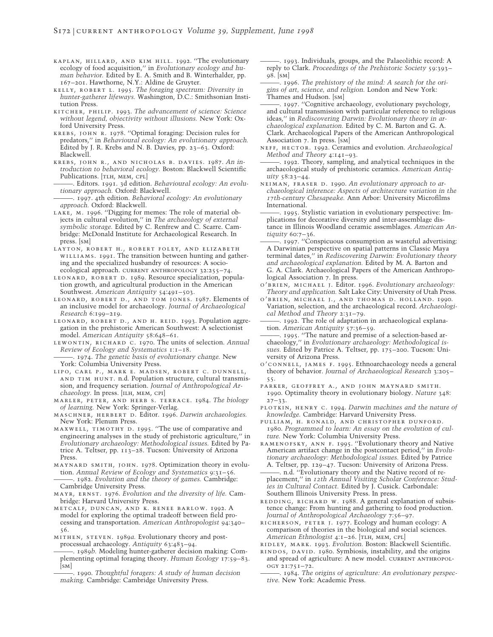- ecology of food acquisition," in *Evolutionary ecology and human behavior.* Edited by E. A. Smith and B. Winterhalder, pp. 98. [SM] 167–201. Hawthorne, N.Y.: Aldine de Gruyter. ———. 1996. *The prehistory of the mind: A search for the ori-*
- KELLY, ROBERT L. 1995. *The foraging spectrum: Diversity in* gins of art, science, and religion. London and New York:<br>hunter-gatherer lifeways. Washington, D.C.: Smithsonian Insti-Thames and Hudson. [sм] *hunter-gatherer lifeways.* Washington, D.C.: Smithsonian Institution Press. ———. 1997. ''Cognitive archaeology, evolutionary psychology,
- *without legend, objectivity without illusions.* New York: Ox-<br>ford University Press.
- predators," in *Behavioural ecology: An evolutionary approach.* Edited by J. R. Krebs and N. B. Davies, pp. 23–63. Oxford: neff, hector. 1992. Ceramics and evolution. *Archaeological*
- KREBS, JOHN R., AND NICHOLAS B. DAVIES. 1987. An in-Publications. [tlh, mem, cpl] *uity* 58:23–44.
- 
- 
- LAKE, M. 1996. "Digging for memes: The role of material obbridge: McDonald Institute for Archaeological Research. In *tiquity* 60:7–36.
- LAYTON, ROBERT H., ROBERT FOLEY, AND ELIZABETH WILLIAMS. 1991. The transition between hunting and gathering and the specialized husbandry of resources: A socio- *and archaeological explanation.* Edited by M. A. Barton and
- leonard, robert d. 1989. Resource specialization, popula- logical Association 7. In press. Southwest. *American Antiquity* 54:491–503. *Theory and application.* Salt Lake City: University of Utah Press.
- LEONARD, ROBERT D., AND TOM JONES. 1987. Elements of O'BRIEN, MICHAEL J., AND THOMAS D. HOLLAND. 1990.<br>an inclusive model for archaeology. Journal of Archaeological Variation, selection, and the archaeological record. Arch *Research* 6:199–219. *cal Method and Theory* 2:31–79.
- gation in the prehistoric American Southwest: A selectionist tion. *American Antiquity* 57:36–59.
- *Review of Ecology and Systematics* 1:1–18. *sues.* Edited by Patrice A. Teltser, pp. 175–200. Tucson: Uni-<br>——. 1974. *The genetic basis of evolutionary change*. New versity of Arizona Press. -. 1974. *The genetic basis of evolutionary change*. New
- LIPO, CARL P., MARK E. MADSEN, ROBERT C. DUNNELL, and tim hunt. n.d. Population structure, cultural transmis- 55. sion, and frequency seriation. *Journal of Anthropological Ar-* parker, GEOFFREY A., AND JOHN MAYNARD SMITH.<br>
1990. Optimality theory in evolutionary biology. Nature 3
- marler, peter, and herb s. terrace. 1984. *The biology* 27–33.
- maschner, herbert d. Editor. 1996. *Darwin archaeologies. knowledge.* Cambridge: Harvard University Press. New York: Plenum Press. **pulliam, h. ronald, and christopher dunford.**
- engineering analyses in the study of prehistoric agriculture,'' in *ture.* New York: Columbia University Press. *Evolutionary archaeology: Methodological issues.* Edited by Pa- ramenofsky, ann f. 1995. ''Evolutionary theory and Native
- maynard smith, john. 1978. Optimization theory in evolu-<br>tion. Annual Review of Ecology and Systematics  $9:31-56$ .<br>A. Teltser, pp. 129–47. Tucson: University of Arizona Press.<br>Annual Review of Ecology and Systematics  $9:31$ tion. *Annual Review of Ecology and Systematics* 9:31-56.
- mayr, ernst. 1976. *Evolution and the diversity of life.* Cam- Southern Illinois University Press. In press.
- model for exploring the optimal tradeoff between field pro- *Journal of Anthropological Archaeology* 7:56–97. cessing and transportation. *American Anthropologist* 94:340– richerson, peter j. 1977. Ecology and human ecology: A
- mithen, steven. 1989*a.* Evolutionary theory and post- *American Ethnologist* 4:1–26. [tlh, mem, cpl] processual archaeology. *Antiquity* 63:483–94. ridley, mark. 1993. *Evolution.* Boston: Blackwell Scientific.
- plementing optimal foraging theory. *Human Ecology* 17:59–83.  $[SM]$  OGY 21:751–72.
- *making.* Cambridge: Cambridge University Press. *tive.* New York: Academic Press.
- KAPLAN, HILLARD, AND KIM HILL. 1992. ''The evolutionary ———. 1993. Individuals, groups, and the Palaeolithic record: A recology of food acquisition," in Evolutionary ecology and hu-<br>reply to Clark. Proceedings of the Prehi
	-
- kitcher, philip. 1993. *The advancement of science: Science* and cultural transmission with particular reference to religious ford University Press. *chaeological explanation.* Edited by C. M. Barton and G. A. Clark. Archaeological Papers of the American Anthropological<br>Association 7. In press. [sm]
	-
	- Blackwell. *Method and Theory* 4:141–93.<br>REBS, JOHN R., AND NICHOLAS B. DAVIES. 1987. An in-<br>REBS, JOHN R., AND NICHOLAS B. DAVIES. 1987. An in-<br>1992. Theory, sampling, and analytical techniques in the *troduction to behavioral ecology.* Boston: Blackwell Scientific archaeological study of prehistoric ceramics. *American Antiq-*

——. Editors. 1991. 3d edition. *Behavioural ecology: An evolu-* и выман, frаве р. 1990. *An evolutionary approach to artionary approach*. Oxford: Blackwell. *are proproach* to ar-*chaeological inference: Aspects of archit tionary approach.* Oxford: Blackwell. *chaeological inference: Aspects of architecture variation in the* ———. 1997. 4th edition. *Behavioral ecology: An evolutionary 17th-century Chesapeake.* Ann Arbor: University Microfilms

- *approach.* Oxford: Blackwell.<br>AKE, M. 1996. "Digging for memes: The role of material ob-<br>AKE, M. 1996. "Digging for memes: The role of material ob-<br>2015. Stylistic variation in evolutionary perspective: Imjects in cultural evolution,'' in *The archaeology of external* plications for decorative diversity and inter-assemblage distance in Illinois Woodland ceramic assemblages. *American An-*
- press. [sm]<br>
press. [sm]<br>
A Darwinian perspective on spatial patterns in Classic Maya<br>
A Darwinian perspective on spatial patterns in Classic Maya terminal dates," in *Rediscovering Darwin: Evolutionary theory* ecological approach. current anthropology 32:255–74. G. A. Clark. Archaeological Papers of the American Anthropo-
- tion growth, and agricultural production in the American o'BRIEN, MICHAEL J. Editor. 1996. *Evolutionary archaeology:* 
	- Variation, selection, and the archaeological record. *Archaeologi-*
- leonard, robert d., and h. reid. 1993. Population aggre- ———. 1992. The role of adaptation in archaeological explana-
- model. *American Antiquity* 58:648–61. ———. 1995. ''The nature and premise of a selection-based arlewontin, richard c. 1970. The units of selection. *Annual* chaeology,'' in *Evolutionary archaeology: Methodological is-*
	- York: Columbia University Press. o'connell, JAMES F. 1995. Ethnoarchaeology needs a general<br>PO, CARL P., MARK E. MADSEN, ROBERT C. DUNNELL, theory of behavior. Journal of Archaeological Research 3:205–
		- 1990. Optimality theory in evolutionary biology. *Nature* 348:
		- PLOTKIN, HENRY C. 1994. *Darwin machines and the nature of*
- maxwell, timothy d. 1995. ''The use of comparative and 1980. *Programmed to learn: An essay on the evolution of cul-*
	- American artifact change in the postcontact period," in *Evolu-*Press.<br>*tionary archaeology: Methodological issues.* Edited by Patrice<br>A. Teltser, pp. 129–47. Tucson: University of Arizona Press.
	- ———. 1982. *Evolution and the theory of games.* Cambridge: placement,'' in *12th Annual Visiting Scholar Conference: Stud*ies in Cultural Contact. Edited by J. Cusick. Carbondale:
- REDDING, RICHARD W. 1988. A general explanation of subsismetcalf, duncan, and k. renee barlow. 1992. A tence change: From hunting and gathering to food production.
	- 56. comparison of theories in the biological and social sciences.
		-
		- RINDOS, DAVID. 1980. Symbiosis, instability, and the origins and spread of agriculture: A new model. CURRENT ANTHROPOL-
		- ———. 1990. *Thoughtful foragers: A study of human decision* ———. 1984. *The origins of agriculture: An evolutionary perspec-*